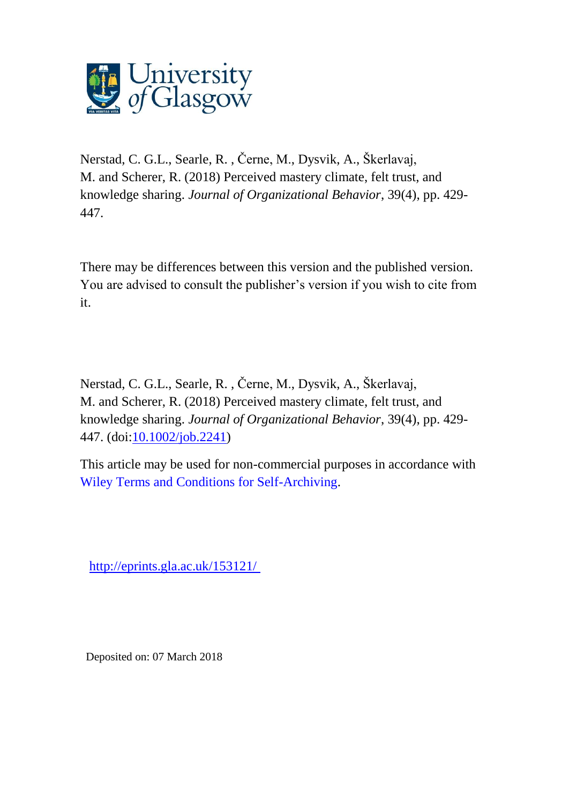

Nerstad, C. G.L., Searle, R. , Černe, M., Dysvik, A., Škerlavaj, M. and Scherer, R. (2018) Perceived mastery climate, felt trust, and knowledge sharing. *Journal of Organizational Behavior*, 39(4), pp. 429- 447.

There may be differences between this version and the published version. You are advised to consult the publisher's version if you wish to cite from it.

Nerstad, C. G.L., Searle, R. , Černe, M., Dysvik, A., Škerlavaj, M. and Scherer, R. (2018) Perceived mastery climate, felt trust, and knowledge sharing. *Journal of Organizational Behavior*, 39(4), pp. 429- 447. (doi[:10.1002/job.2241\)](http://dx.doi.org/10.1002/job.2241)

This article may be used for non-commercial purposes in accordance with [Wiley Terms and Conditions for Self-Archiving.](http://olabout.wiley.com/WileyCDA/Section/id-828039.html#terms)

[http://eprints.gla.ac.uk/153121/](http://eprints.gla.ac.uk/158484/) 

Deposited on: 07 March 2018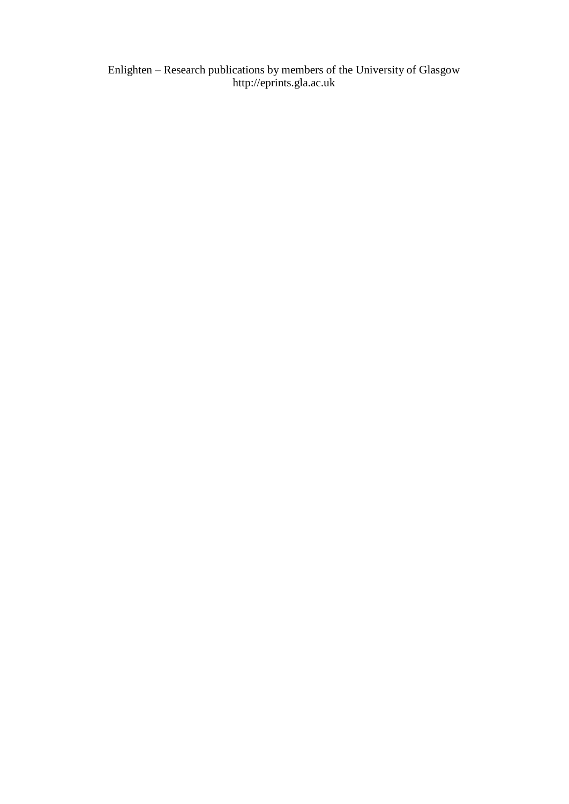Enlighten – Research publications by members of the University of Glasgo[w](http://eprints.gla.ac.uk/) [http://eprints.gla.ac.uk](http://eprints.gla.ac.uk/)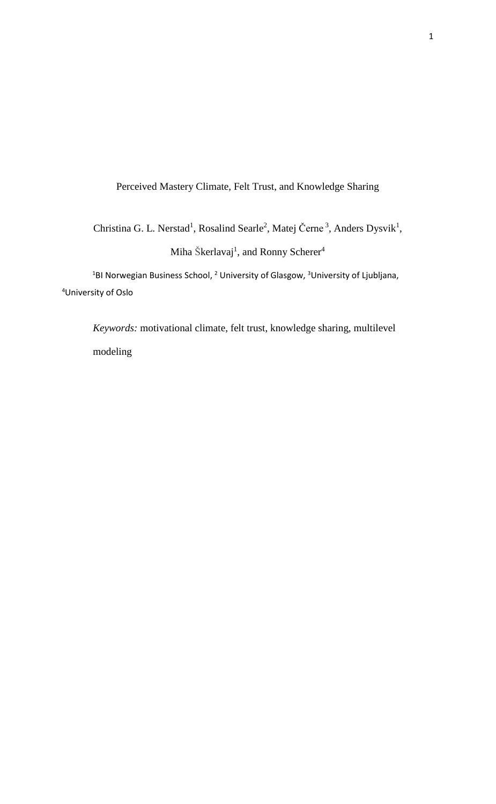Perceived Mastery Climate, Felt Trust, and Knowledge Sharing

Christina G. L. Nerstad<sup>1</sup>, Rosalind Searle<sup>2</sup>, Matej Černe<sup>3</sup>, Anders Dysvik<sup>1</sup>, Miha Škerlavaj<sup>1</sup>, and Ronny Scherer<sup>4</sup>

<sup>1</sup>BI Norwegian Business School, <sup>2</sup> University of Glasgow, <sup>3</sup>University of Ljubljana, <sup>4</sup>University of Oslo

*Keywords:* motivational climate, felt trust, knowledge sharing, multilevel modeling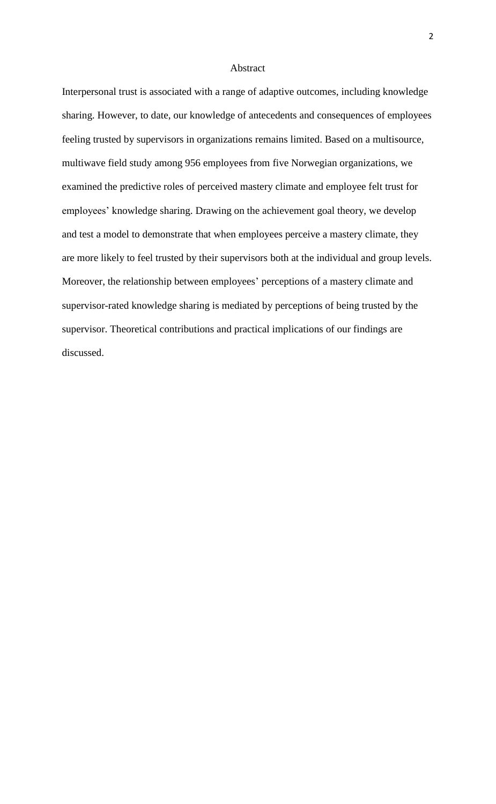### Abstract

Interpersonal trust is associated with a range of adaptive outcomes, including knowledge sharing. However, to date, our knowledge of antecedents and consequences of employees feeling trusted by supervisors in organizations remains limited. Based on a multisource, multiwave field study among 956 employees from five Norwegian organizations, we examined the predictive roles of perceived mastery climate and employee felt trust for employees' knowledge sharing. Drawing on the achievement goal theory, we develop and test a model to demonstrate that when employees perceive a mastery climate, they are more likely to feel trusted by their supervisors both at the individual and group levels. Moreover, the relationship between employees' perceptions of a mastery climate and supervisor-rated knowledge sharing is mediated by perceptions of being trusted by the supervisor. Theoretical contributions and practical implications of our findings are discussed.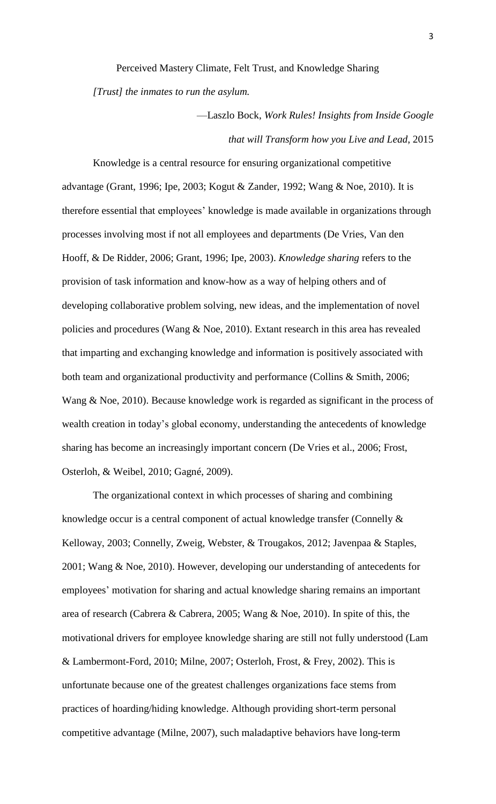Perceived Mastery Climate, Felt Trust, and Knowledge Sharing

*[Trust] the inmates to run the asylum.* 

—Laszlo Bock, *Work Rules! Insights from Inside Google that will Transform how you Live and Lead*, 2015

Knowledge is a central resource for ensuring organizational competitive advantage (Grant, 1996; Ipe, 2003; Kogut & Zander, 1992; Wang & Noe, 2010). It is therefore essential that employees' knowledge is made available in organizations through processes involving most if not all employees and departments (De Vries, Van den Hooff, & De Ridder, 2006; Grant, 1996; Ipe, 2003). *Knowledge sharing* refers to the provision of task information and know-how as a way of helping others and of developing collaborative problem solving, new ideas, and the implementation of novel policies and procedures (Wang & Noe, 2010). Extant research in this area has revealed that imparting and exchanging knowledge and information is positively associated with both team and organizational productivity and performance (Collins & Smith, 2006; Wang & Noe, 2010). Because knowledge work is regarded as significant in the process of wealth creation in today's global economy, understanding the antecedents of knowledge sharing has become an increasingly important concern (De Vries et al., 2006; Frost, Osterloh, & Weibel, 2010; Gagné, 2009).

The organizational context in which processes of sharing and combining knowledge occur is a central component of actual knowledge transfer (Connelly & Kelloway, 2003; Connelly, Zweig, Webster, & Trougakos, 2012; Javenpaa & Staples, 2001; Wang & Noe, 2010). However, developing our understanding of antecedents for employees' motivation for sharing and actual knowledge sharing remains an important area of research (Cabrera & Cabrera, 2005; Wang & Noe, 2010). In spite of this, the motivational drivers for employee knowledge sharing are still not fully understood (Lam & Lambermont-Ford, 2010; Milne, 2007; Osterloh, Frost, & Frey, 2002). This is unfortunate because one of the greatest challenges organizations face stems from practices of hoarding/hiding knowledge. Although providing short-term personal competitive advantage (Milne, 2007), such maladaptive behaviors have long-term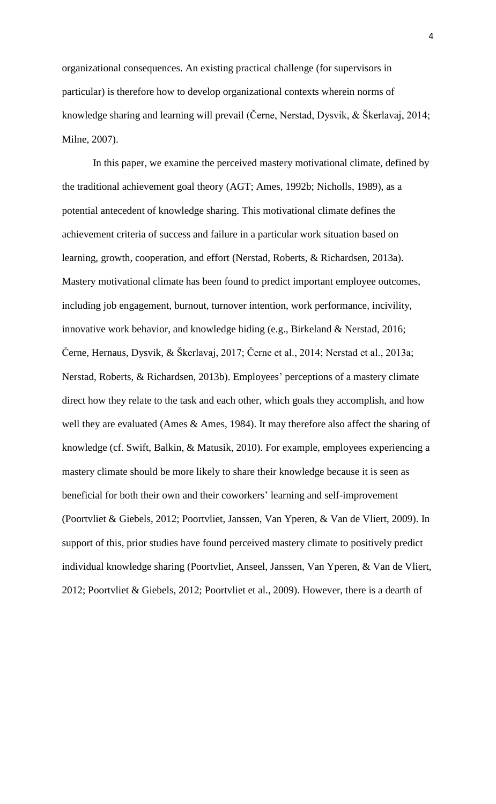organizational consequences. An existing practical challenge (for supervisors in particular) is therefore how to develop organizational contexts wherein norms of knowledge sharing and learning will prevail (Černe, Nerstad, Dysvik, & Škerlavaj, 2014; Milne, 2007).

In this paper, we examine the perceived mastery motivational climate, defined by the traditional achievement goal theory (AGT; Ames, 1992b; Nicholls, 1989), as a potential antecedent of knowledge sharing. This motivational climate defines the achievement criteria of success and failure in a particular work situation based on learning, growth, cooperation, and effort (Nerstad, Roberts, & Richardsen, 2013a). Mastery motivational climate has been found to predict important employee outcomes, including job engagement, burnout, turnover intention, work performance, incivility, innovative work behavior, and knowledge hiding (e.g., Birkeland & Nerstad, 2016; Černe, Hernaus, Dysvik, & Škerlavaj, 2017; Černe et al., 2014; Nerstad et al., 2013a; Nerstad, Roberts, & Richardsen, 2013b). Employees' perceptions of a mastery climate direct how they relate to the task and each other, which goals they accomplish, and how well they are evaluated (Ames & Ames, 1984). It may therefore also affect the sharing of knowledge (cf. Swift, Balkin, & Matusik, 2010). For example, employees experiencing a mastery climate should be more likely to share their knowledge because it is seen as beneficial for both their own and their coworkers' learning and self-improvement (Poortvliet & Giebels, 2012; Poortvliet, Janssen, Van Yperen, & Van de Vliert, 2009). In support of this, prior studies have found perceived mastery climate to positively predict individual knowledge sharing (Poortvliet, Anseel, Janssen, Van Yperen, & Van de Vliert, 2012; Poortvliet & Giebels, 2012; Poortvliet et al., 2009). However, there is a dearth of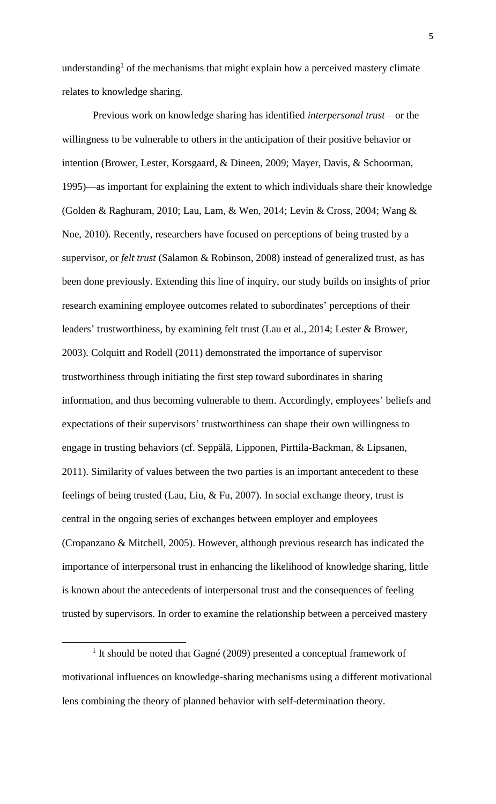understanding<sup>1</sup> of the mechanisms that might explain how a perceived mastery climate relates to knowledge sharing.

Previous work on knowledge sharing has identified *interpersonal trust*—or the willingness to be vulnerable to others in the anticipation of their positive behavior or intention (Brower, Lester, Korsgaard, & Dineen, 2009; Mayer, Davis, & Schoorman, 1995)—as important for explaining the extent to which individuals share their knowledge (Golden & Raghuram, 2010; Lau, Lam, & Wen, 2014; Levin & Cross, 2004; Wang & Noe, 2010). Recently, researchers have focused on perceptions of being trusted by a supervisor, or *felt trust* (Salamon & Robinson, 2008) instead of generalized trust, as has been done previously. Extending this line of inquiry, our study builds on insights of prior research examining employee outcomes related to subordinates' perceptions of their leaders' trustworthiness, by examining felt trust (Lau et al., 2014; Lester & Brower, 2003). Colquitt and Rodell (2011) demonstrated the importance of supervisor trustworthiness through initiating the first step toward subordinates in sharing information, and thus becoming vulnerable to them. Accordingly, employees' beliefs and expectations of their supervisors' trustworthiness can shape their own willingness to engage in trusting behaviors (cf. Seppälä, Lipponen, Pirttila-Backman, & Lipsanen, 2011). Similarity of values between the two parties is an important antecedent to these feelings of being trusted (Lau, Liu, & Fu, 2007). In social exchange theory, trust is central in the ongoing series of exchanges between employer and employees (Cropanzano & Mitchell, 2005). However, although previous research has indicated the importance of interpersonal trust in enhancing the likelihood of knowledge sharing, little is known about the antecedents of interpersonal trust and the consequences of feeling trusted by supervisors. In order to examine the relationship between a perceived mastery

 $\overline{a}$ 

<sup>&</sup>lt;sup>1</sup> It should be noted that Gagné (2009) presented a conceptual framework of motivational influences on knowledge-sharing mechanisms using a different motivational lens combining the theory of planned behavior with self-determination theory.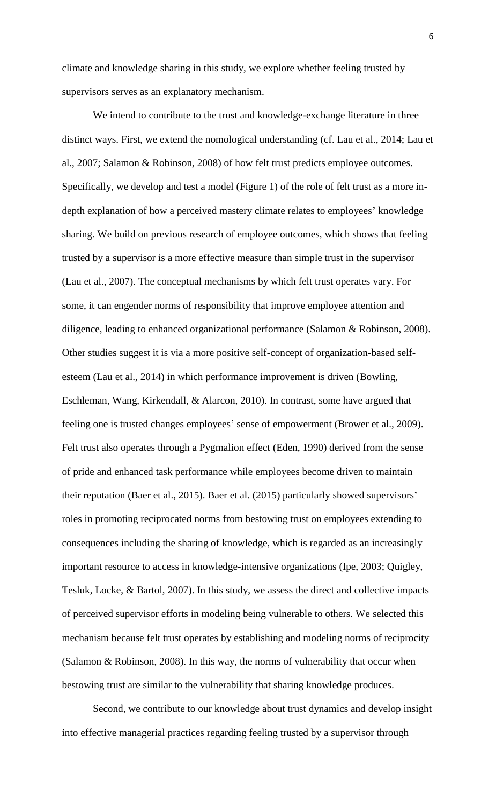climate and knowledge sharing in this study, we explore whether feeling trusted by supervisors serves as an explanatory mechanism.

We intend to contribute to the trust and knowledge-exchange literature in three distinct ways. First, we extend the nomological understanding (cf. Lau et al., 2014; Lau et al., 2007; Salamon & Robinson, 2008) of how felt trust predicts employee outcomes. Specifically, we develop and test a model (Figure 1) of the role of felt trust as a more indepth explanation of how a perceived mastery climate relates to employees' knowledge sharing. We build on previous research of employee outcomes, which shows that feeling trusted by a supervisor is a more effective measure than simple trust in the supervisor (Lau et al., 2007). The conceptual mechanisms by which felt trust operates vary. For some, it can engender norms of responsibility that improve employee attention and diligence, leading to enhanced organizational performance (Salamon & Robinson, 2008). Other studies suggest it is via a more positive self-concept of organization-based selfesteem (Lau et al., 2014) in which performance improvement is driven (Bowling, Eschleman, Wang, Kirkendall, & Alarcon, 2010). In contrast, some have argued that feeling one is trusted changes employees' sense of empowerment (Brower et al., 2009). Felt trust also operates through a Pygmalion effect (Eden, 1990) derived from the sense of pride and enhanced task performance while employees become driven to maintain their reputation (Baer et al., 2015). Baer et al. (2015) particularly showed supervisors' roles in promoting reciprocated norms from bestowing trust on employees extending to consequences including the sharing of knowledge, which is regarded as an increasingly important resource to access in knowledge-intensive organizations (Ipe, 2003; Quigley, Tesluk, Locke, & Bartol, 2007). In this study, we assess the direct and collective impacts of perceived supervisor efforts in modeling being vulnerable to others. We selected this mechanism because felt trust operates by establishing and modeling norms of reciprocity (Salamon & Robinson, 2008). In this way, the norms of vulnerability that occur when bestowing trust are similar to the vulnerability that sharing knowledge produces.

Second, we contribute to our knowledge about trust dynamics and develop insight into effective managerial practices regarding feeling trusted by a supervisor through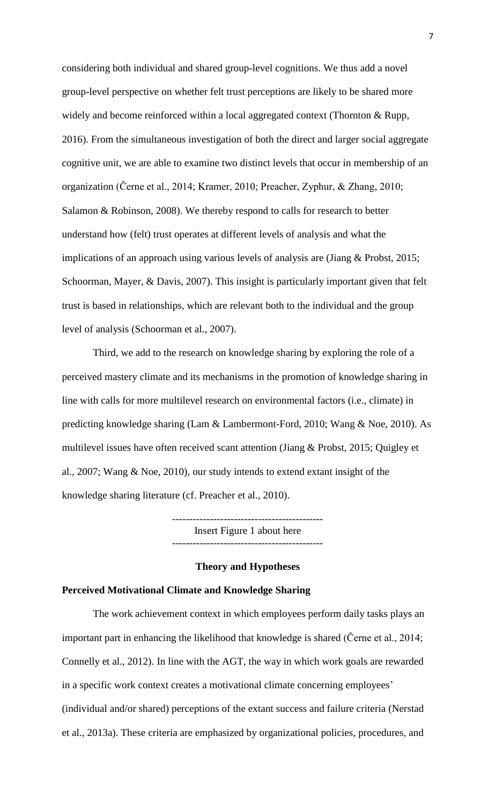considering both individual and shared group-level cognitions. We thus add a novel group-level perspective on whether felt trust perceptions are likely to be shared more widely and become reinforced within a local aggregated context (Thornton & Rupp, 2016). From the simultaneous investigation of both the direct and larger social aggregate cognitive unit, we are able to examine two distinct levels that occur in membership of an organization (Černe et al., 2014; Kramer, 2010; Preacher, Zyphur, & Zhang, 2010; Salamon & Robinson, 2008). We thereby respond to calls for research to better understand how (felt) trust operates at different levels of analysis and what the implications of an approach using various levels of analysis are (Jiang & Probst, 2015; Schoorman, Mayer, & Davis, 2007). This insight is particularly important given that felt trust is based in relationships, which are relevant both to the individual and the group level of analysis (Schoorman et al., 2007).

Third, we add to the research on knowledge sharing by exploring the role of a perceived mastery climate and its mechanisms in the promotion of knowledge sharing in line with calls for more multilevel research on environmental factors (i.e., climate) in predicting knowledge sharing (Lam & Lambermont-Ford, 2010; Wang & Noe, 2010). As multilevel issues have often received scant attention (Jiang & Probst, 2015; Quigley et al., 2007; Wang & Noe, 2010), our study intends to extend extant insight of the knowledge sharing literature (cf. Preacher et al., 2010).

> -------------------------------------------- Insert Figure 1 about here --------------------------------------------

## **Theory and Hypotheses**

#### **Perceived Motivational Climate and Knowledge Sharing**

The work achievement context in which employees perform daily tasks plays an important part in enhancing the likelihood that knowledge is shared (Černe et al., 2014; Connelly et al., 2012). In line with the AGT, the way in which work goals are rewarded in a specific work context creates a motivational climate concerning employees' (individual and/or shared) perceptions of the extant success and failure criteria (Nerstad et al., 2013a). These criteria are emphasized by organizational policies, procedures, and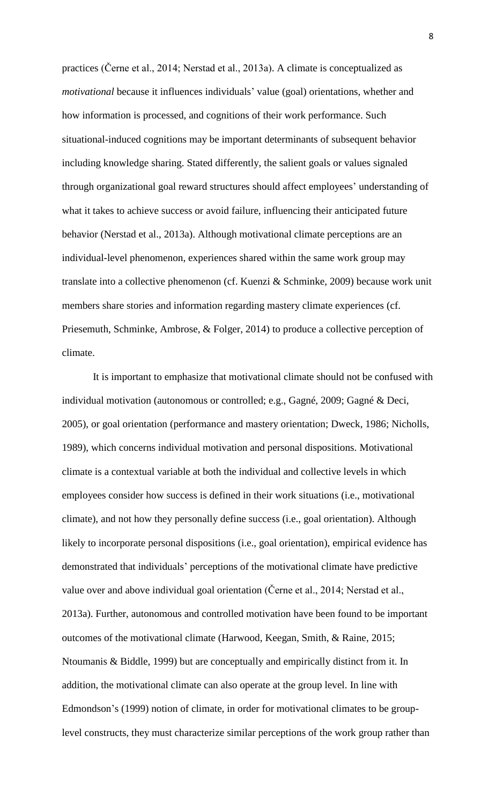practices (Černe et al., 2014; Nerstad et al., 2013a). A climate is conceptualized as *motivational* because it influences individuals' value (goal) orientations, whether and how information is processed, and cognitions of their work performance. Such situational-induced cognitions may be important determinants of subsequent behavior including knowledge sharing. Stated differently, the salient goals or values signaled through organizational goal reward structures should affect employees' understanding of what it takes to achieve success or avoid failure, influencing their anticipated future behavior (Nerstad et al., 2013a). Although motivational climate perceptions are an individual-level phenomenon, experiences shared within the same work group may translate into a collective phenomenon (cf. Kuenzi & Schminke, 2009) because work unit members share stories and information regarding mastery climate experiences (cf. Priesemuth, Schminke, Ambrose, & Folger, 2014) to produce a collective perception of climate.

It is important to emphasize that motivational climate should not be confused with individual motivation (autonomous or controlled; e.g., Gagné, 2009; Gagné & Deci, 2005), or goal orientation (performance and mastery orientation; Dweck, 1986; Nicholls, 1989), which concerns individual motivation and personal dispositions. Motivational climate is a contextual variable at both the individual and collective levels in which employees consider how success is defined in their work situations (i.e., motivational climate), and not how they personally define success (i.e., goal orientation). Although likely to incorporate personal dispositions (i.e., goal orientation), empirical evidence has demonstrated that individuals' perceptions of the motivational climate have predictive value over and above individual goal orientation (Černe et al., 2014; Nerstad et al., 2013a). Further, autonomous and controlled motivation have been found to be important outcomes of the motivational climate (Harwood, Keegan, Smith, & Raine, 2015; Ntoumanis & Biddle, 1999) but are conceptually and empirically distinct from it. In addition, the motivational climate can also operate at the group level. In line with Edmondson's (1999) notion of climate, in order for motivational climates to be grouplevel constructs, they must characterize similar perceptions of the work group rather than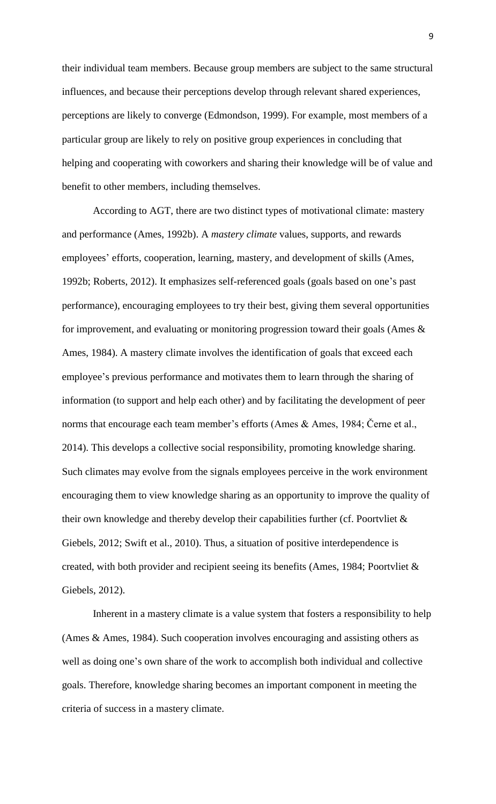their individual team members. Because group members are subject to the same structural influences, and because their perceptions develop through relevant shared experiences, perceptions are likely to converge (Edmondson, 1999). For example, most members of a particular group are likely to rely on positive group experiences in concluding that helping and cooperating with coworkers and sharing their knowledge will be of value and benefit to other members, including themselves.

According to AGT, there are two distinct types of motivational climate: mastery and performance (Ames, 1992b). A *mastery climate* values, supports, and rewards employees' efforts, cooperation, learning, mastery, and development of skills (Ames, 1992b; Roberts, 2012). It emphasizes self-referenced goals (goals based on one's past performance), encouraging employees to try their best, giving them several opportunities for improvement, and evaluating or monitoring progression toward their goals (Ames & Ames, 1984). A mastery climate involves the identification of goals that exceed each employee's previous performance and motivates them to learn through the sharing of information (to support and help each other) and by facilitating the development of peer norms that encourage each team member's efforts (Ames & Ames, 1984; Černe et al., 2014). This develops a collective social responsibility, promoting knowledge sharing. Such climates may evolve from the signals employees perceive in the work environment encouraging them to view knowledge sharing as an opportunity to improve the quality of their own knowledge and thereby develop their capabilities further (cf. Poortvliet & Giebels, 2012; Swift et al., 2010). Thus, a situation of positive interdependence is created, with both provider and recipient seeing its benefits (Ames, 1984; Poortvliet & Giebels, 2012).

Inherent in a mastery climate is a value system that fosters a responsibility to help (Ames & Ames, 1984). Such cooperation involves encouraging and assisting others as well as doing one's own share of the work to accomplish both individual and collective goals. Therefore, knowledge sharing becomes an important component in meeting the criteria of success in a mastery climate.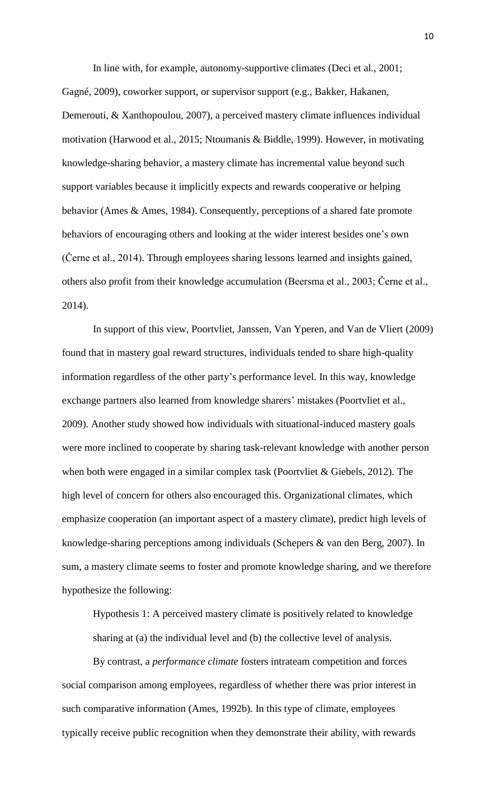In line with, for example, autonomy-supportive climates (Deci et al., 2001;

Gagné, 2009), coworker support, or supervisor support (e.g., Bakker, Hakanen, Demerouti, & Xanthopoulou, 2007), a perceived mastery climate influences individual motivation (Harwood et al., 2015; Ntoumanis & Biddle, 1999). However, in motivating knowledge-sharing behavior, a mastery climate has incremental value beyond such support variables because it implicitly expects and rewards cooperative or helping behavior (Ames & Ames, 1984). Consequently, perceptions of a shared fate promote behaviors of encouraging others and looking at the wider interest besides one's own (Černe et al., 2014). Through employees sharing lessons learned and insights gained, others also profit from their knowledge accumulation (Beersma et al., 2003; Černe et al., 2014).

In support of this view, Poortvliet, Janssen, Van Yperen, and Van de Vliert (2009) found that in mastery goal reward structures, individuals tended to share high-quality information regardless of the other party's performance level. In this way, knowledge exchange partners also learned from knowledge sharers' mistakes (Poortvliet et al., 2009). Another study showed how individuals with situational-induced mastery goals were more inclined to cooperate by sharing task-relevant knowledge with another person when both were engaged in a similar complex task (Poortvliet & Giebels, 2012). The high level of concern for others also encouraged this. Organizational climates, which emphasize cooperation (an important aspect of a mastery climate), predict high levels of knowledge-sharing perceptions among individuals (Schepers & van den Berg, 2007). In sum, a mastery climate seems to foster and promote knowledge sharing, and we therefore hypothesize the following:

Hypothesis 1: A perceived mastery climate is positively related to knowledge sharing at (a) the individual level and (b) the collective level of analysis.

By contrast, a *performance climate* fosters intrateam competition and forces social comparison among employees, regardless of whether there was prior interest in such comparative information (Ames, 1992b). In this type of climate, employees typically receive public recognition when they demonstrate their ability, with rewards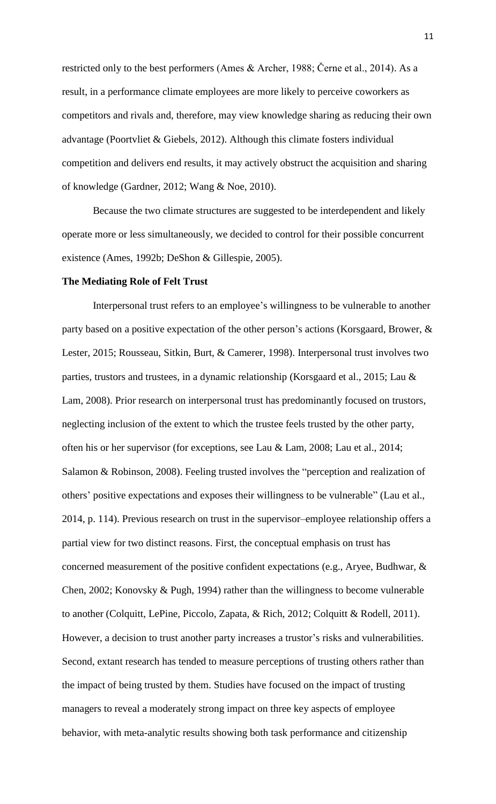restricted only to the best performers (Ames & Archer, 1988; Černe et al., 2014). As a result, in a performance climate employees are more likely to perceive coworkers as competitors and rivals and, therefore, may view knowledge sharing as reducing their own advantage (Poortvliet & Giebels, 2012). Although this climate fosters individual competition and delivers end results, it may actively obstruct the acquisition and sharing of knowledge (Gardner, 2012; Wang & Noe, 2010).

Because the two climate structures are suggested to be interdependent and likely operate more or less simultaneously, we decided to control for their possible concurrent existence (Ames, 1992b; DeShon & Gillespie, 2005).

#### **The Mediating Role of Felt Trust**

Interpersonal trust refers to an employee's willingness to be vulnerable to another party based on a positive expectation of the other person's actions (Korsgaard, Brower, & Lester, 2015; Rousseau, Sitkin, Burt, & Camerer, 1998). Interpersonal trust involves two parties, trustors and trustees, in a dynamic relationship (Korsgaard et al., 2015; Lau & Lam, 2008). Prior research on interpersonal trust has predominantly focused on trustors, neglecting inclusion of the extent to which the trustee feels trusted by the other party, often his or her supervisor (for exceptions, see Lau & Lam, 2008; Lau et al., 2014; Salamon & Robinson, 2008). Feeling trusted involves the "perception and realization of others' positive expectations and exposes their willingness to be vulnerable" (Lau et al., 2014, p. 114). Previous research on trust in the supervisor–employee relationship offers a partial view for two distinct reasons. First, the conceptual emphasis on trust has concerned measurement of the positive confident expectations (e.g., Aryee, Budhwar, & Chen, 2002; Konovsky & Pugh, 1994) rather than the willingness to become vulnerable to another (Colquitt, LePine, Piccolo, Zapata, & Rich, 2012; Colquitt & Rodell, 2011). However, a decision to trust another party increases a trustor's risks and vulnerabilities. Second, extant research has tended to measure perceptions of trusting others rather than the impact of being trusted by them. Studies have focused on the impact of trusting managers to reveal a moderately strong impact on three key aspects of employee behavior, with meta-analytic results showing both task performance and citizenship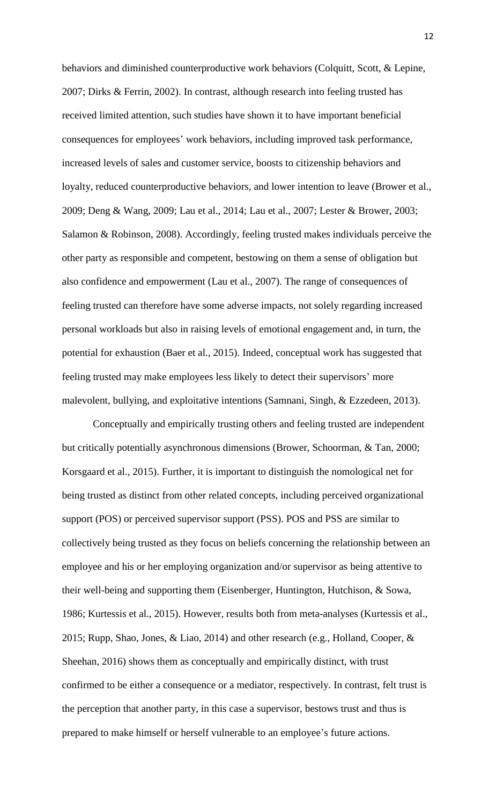behaviors and diminished counterproductive work behaviors (Colquitt, Scott, & Lepine, 2007; Dirks & Ferrin, 2002). In contrast, although research into feeling trusted has received limited attention, such studies have shown it to have important beneficial consequences for employees' work behaviors, including improved task performance, increased levels of sales and customer service, boosts to citizenship behaviors and loyalty, reduced counterproductive behaviors, and lower intention to leave (Brower et al., 2009; Deng & Wang, 2009; Lau et al., 2014; Lau et al., 2007; Lester & Brower, 2003; Salamon & Robinson, 2008). Accordingly, feeling trusted makes individuals perceive the other party as responsible and competent, bestowing on them a sense of obligation but also confidence and empowerment (Lau et al., 2007). The range of consequences of feeling trusted can therefore have some adverse impacts, not solely regarding increased personal workloads but also in raising levels of emotional engagement and, in turn, the potential for exhaustion (Baer et al., 2015). Indeed, conceptual work has suggested that feeling trusted may make employees less likely to detect their supervisors' more malevolent, bullying, and exploitative intentions (Samnani, Singh, & Ezzedeen, 2013).

Conceptually and empirically trusting others and feeling trusted are independent but critically potentially asynchronous dimensions (Brower, Schoorman, & Tan, 2000; Korsgaard et al., 2015). Further, it is important to distinguish the nomological net for being trusted as distinct from other related concepts, including perceived organizational support (POS) or perceived supervisor support (PSS). POS and PSS are similar to collectively being trusted as they focus on beliefs concerning the relationship between an employee and his or her employing organization and/or supervisor as being attentive to their well-being and supporting them (Eisenberger, Huntington, Hutchison, & Sowa, 1986; Kurtessis et al., 2015). However, results both from meta-analyses (Kurtessis et al., 2015; Rupp, Shao, Jones, & Liao, 2014) and other research (e.g., Holland, Cooper, & Sheehan, 2016) shows them as conceptually and empirically distinct, with trust confirmed to be either a consequence or a mediator, respectively. In contrast, felt trust is the perception that another party, in this case a supervisor, bestows trust and thus is prepared to make himself or herself vulnerable to an employee's future actions.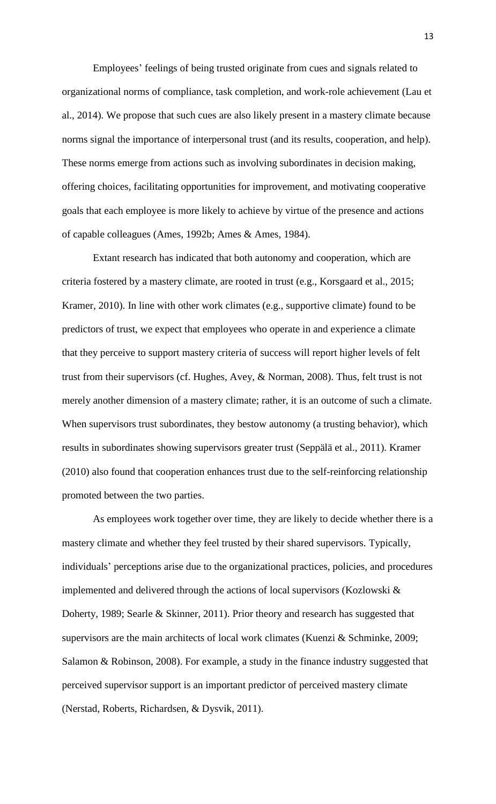Employees' feelings of being trusted originate from cues and signals related to organizational norms of compliance, task completion, and work-role achievement (Lau et al., 2014). We propose that such cues are also likely present in a mastery climate because norms signal the importance of interpersonal trust (and its results, cooperation, and help). These norms emerge from actions such as involving subordinates in decision making, offering choices, facilitating opportunities for improvement, and motivating cooperative goals that each employee is more likely to achieve by virtue of the presence and actions of capable colleagues (Ames, 1992b; Ames & Ames, 1984).

Extant research has indicated that both autonomy and cooperation, which are criteria fostered by a mastery climate, are rooted in trust (e.g., Korsgaard et al., 2015; Kramer, 2010). In line with other work climates (e.g., supportive climate) found to be predictors of trust, we expect that employees who operate in and experience a climate that they perceive to support mastery criteria of success will report higher levels of felt trust from their supervisors (cf. Hughes, Avey, & Norman, 2008). Thus, felt trust is not merely another dimension of a mastery climate; rather, it is an outcome of such a climate. When supervisors trust subordinates, they bestow autonomy (a trusting behavior), which results in subordinates showing supervisors greater trust (Seppälä et al., 2011). Kramer (2010) also found that cooperation enhances trust due to the self-reinforcing relationship promoted between the two parties.

As employees work together over time, they are likely to decide whether there is a mastery climate and whether they feel trusted by their shared supervisors. Typically, individuals' perceptions arise due to the organizational practices, policies, and procedures implemented and delivered through the actions of local supervisors (Kozlowski & Doherty, 1989; Searle & Skinner, 2011). Prior theory and research has suggested that supervisors are the main architects of local work climates (Kuenzi & Schminke, 2009; Salamon & Robinson, 2008). For example, a study in the finance industry suggested that perceived supervisor support is an important predictor of perceived mastery climate (Nerstad, Roberts, Richardsen, & Dysvik, 2011).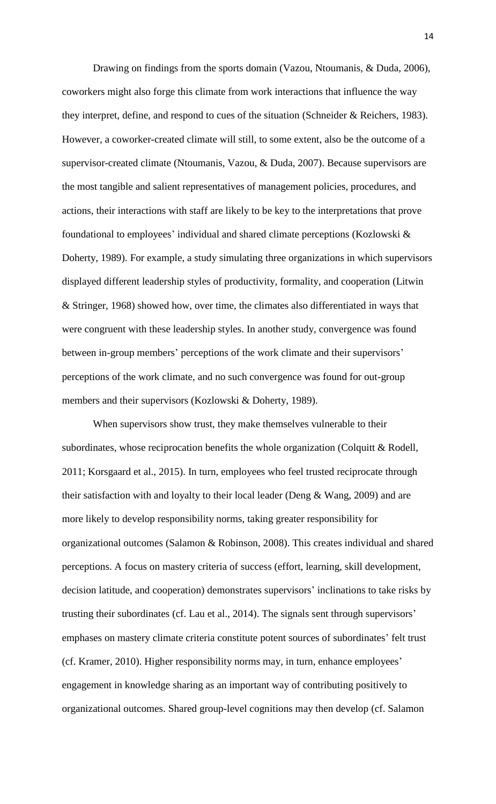Drawing on findings from the sports domain (Vazou, Ntoumanis, & Duda, 2006), coworkers might also forge this climate from work interactions that influence the way they interpret, define, and respond to cues of the situation (Schneider & Reichers, 1983). However, a coworker-created climate will still, to some extent, also be the outcome of a supervisor-created climate (Ntoumanis, Vazou, & Duda, 2007). Because supervisors are the most tangible and salient representatives of management policies, procedures, and actions, their interactions with staff are likely to be key to the interpretations that prove foundational to employees' individual and shared climate perceptions (Kozlowski & Doherty, 1989). For example, a study simulating three organizations in which supervisors displayed different leadership styles of productivity, formality, and cooperation (Litwin & Stringer, 1968) showed how, over time, the climates also differentiated in ways that were congruent with these leadership styles. In another study, convergence was found between in-group members' perceptions of the work climate and their supervisors' perceptions of the work climate, and no such convergence was found for out-group members and their supervisors (Kozlowski & Doherty, 1989).

When supervisors show trust, they make themselves vulnerable to their subordinates, whose reciprocation benefits the whole organization (Colquitt & Rodell, 2011; Korsgaard et al., 2015). In turn, employees who feel trusted reciprocate through their satisfaction with and loyalty to their local leader (Deng & Wang, 2009) and are more likely to develop responsibility norms, taking greater responsibility for organizational outcomes (Salamon & Robinson, 2008). This creates individual and shared perceptions. A focus on mastery criteria of success (effort, learning, skill development, decision latitude, and cooperation) demonstrates supervisors' inclinations to take risks by trusting their subordinates (cf. Lau et al., 2014). The signals sent through supervisors' emphases on mastery climate criteria constitute potent sources of subordinates' felt trust (cf. Kramer, 2010). Higher responsibility norms may, in turn, enhance employees' engagement in knowledge sharing as an important way of contributing positively to organizational outcomes. Shared group-level cognitions may then develop (cf. Salamon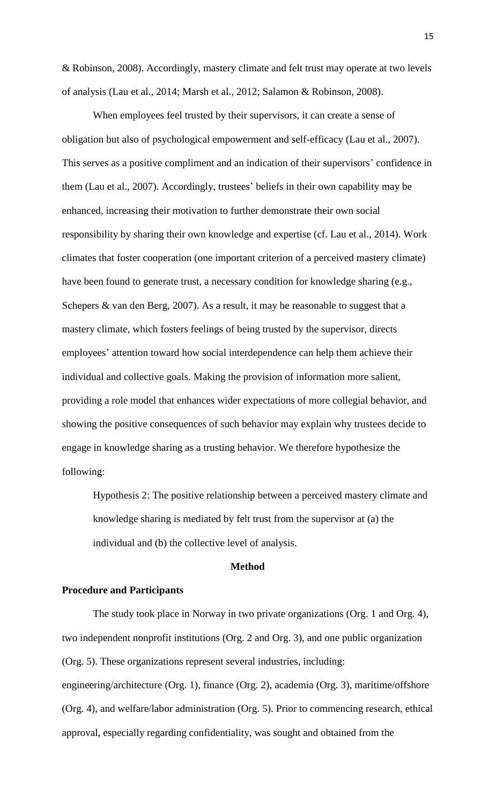& Robinson, 2008). Accordingly, mastery climate and felt trust may operate at two levels of analysis (Lau et al., 2014; Marsh et al., 2012; Salamon & Robinson, 2008).

When employees feel trusted by their supervisors, it can create a sense of obligation but also of psychological empowerment and self-efficacy (Lau et al., 2007). This serves as a positive compliment and an indication of their supervisors' confidence in them (Lau et al., 2007). Accordingly, trustees' beliefs in their own capability may be enhanced, increasing their motivation to further demonstrate their own social responsibility by sharing their own knowledge and expertise (cf. Lau et al., 2014). Work climates that foster cooperation (one important criterion of a perceived mastery climate) have been found to generate trust, a necessary condition for knowledge sharing (e.g., Schepers & van den Berg, 2007). As a result, it may be reasonable to suggest that a mastery climate, which fosters feelings of being trusted by the supervisor, directs employees' attention toward how social interdependence can help them achieve their individual and collective goals. Making the provision of information more salient, providing a role model that enhances wider expectations of more collegial behavior, and showing the positive consequences of such behavior may explain why trustees decide to engage in knowledge sharing as a trusting behavior. We therefore hypothesize the following:

Hypothesis 2: The positive relationship between a perceived mastery climate and knowledge sharing is mediated by felt trust from the supervisor at (a) the individual and (b) the collective level of analysis.

### **Method**

#### **Procedure and Participants**

The study took place in Norway in two private organizations (Org. 1 and Org. 4), two independent nonprofit institutions (Org. 2 and Org. 3), and one public organization (Org. 5). These organizations represent several industries, including: engineering/architecture (Org. 1), finance (Org. 2), academia (Org. 3), maritime/offshore (Org. 4), and welfare/labor administration (Org. 5). Prior to commencing research, ethical approval, especially regarding confidentiality, was sought and obtained from the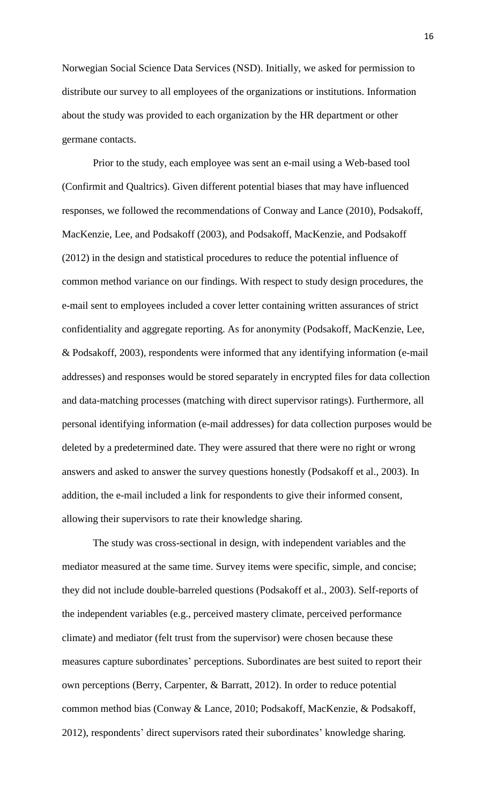Norwegian Social Science Data Services (NSD). Initially, we asked for permission to distribute our survey to all employees of the organizations or institutions. Information about the study was provided to each organization by the HR department or other germane contacts.

Prior to the study, each employee was sent an e-mail using a Web-based tool (Confirmit and Qualtrics). Given different potential biases that may have influenced responses, we followed the recommendations of Conway and Lance (2010), Podsakoff, MacKenzie, Lee, and Podsakoff (2003), and Podsakoff, MacKenzie, and Podsakoff (2012) in the design and statistical procedures to reduce the potential influence of common method variance on our findings. With respect to study design procedures, the e-mail sent to employees included a cover letter containing written assurances of strict confidentiality and aggregate reporting. As for anonymity (Podsakoff, MacKenzie, Lee, & Podsakoff, 2003), respondents were informed that any identifying information (e-mail addresses) and responses would be stored separately in encrypted files for data collection and data-matching processes (matching with direct supervisor ratings). Furthermore, all personal identifying information (e-mail addresses) for data collection purposes would be deleted by a predetermined date. They were assured that there were no right or wrong answers and asked to answer the survey questions honestly (Podsakoff et al., 2003). In addition, the e-mail included a link for respondents to give their informed consent, allowing their supervisors to rate their knowledge sharing.

The study was cross-sectional in design, with independent variables and the mediator measured at the same time. Survey items were specific, simple, and concise; they did not include double-barreled questions (Podsakoff et al., 2003). Self-reports of the independent variables (e.g., perceived mastery climate, perceived performance climate) and mediator (felt trust from the supervisor) were chosen because these measures capture subordinates' perceptions. Subordinates are best suited to report their own perceptions (Berry, Carpenter, & Barratt, 2012). In order to reduce potential common method bias (Conway & Lance, 2010; Podsakoff, MacKenzie, & Podsakoff, 2012), respondents' direct supervisors rated their subordinates' knowledge sharing.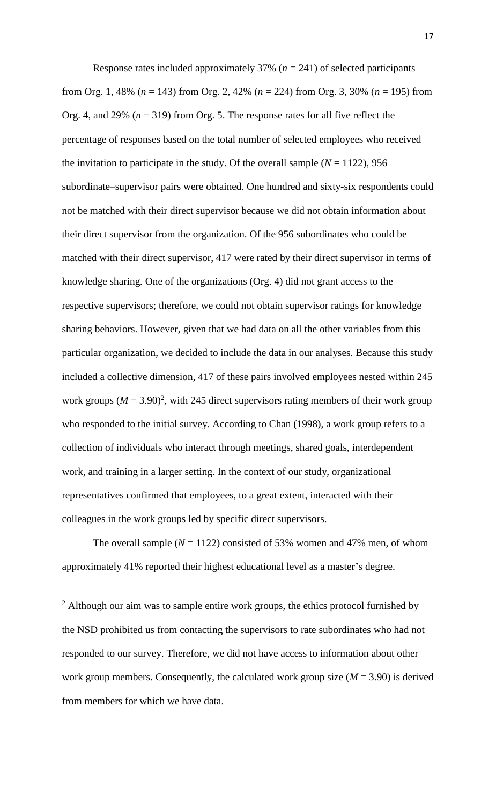Response rates included approximately 37% ( $n = 241$ ) of selected participants from Org. 1, 48% (*n* = 143) from Org. 2, 42% (*n* = 224) from Org. 3, 30% (*n* = 195) from Org. 4, and 29% (*n* = 319) from Org. 5. The response rates for all five reflect the percentage of responses based on the total number of selected employees who received the invitation to participate in the study. Of the overall sample  $(N = 1122)$ , 956 subordinate–supervisor pairs were obtained. One hundred and sixty-six respondents could not be matched with their direct supervisor because we did not obtain information about their direct supervisor from the organization. Of the 956 subordinates who could be matched with their direct supervisor, 417 were rated by their direct supervisor in terms of knowledge sharing. One of the organizations (Org. 4) did not grant access to the respective supervisors; therefore, we could not obtain supervisor ratings for knowledge sharing behaviors. However, given that we had data on all the other variables from this particular organization, we decided to include the data in our analyses. Because this study included a collective dimension, 417 of these pairs involved employees nested within 245 work groups  $(M = 3.90)^2$ , with 245 direct supervisors rating members of their work group who responded to the initial survey. According to Chan (1998), a work group refers to a collection of individuals who interact through meetings, shared goals, interdependent work, and training in a larger setting. In the context of our study, organizational representatives confirmed that employees, to a great extent, interacted with their colleagues in the work groups led by specific direct supervisors.

The overall sample  $(N = 1122)$  consisted of 53% women and 47% men, of whom approximately 41% reported their highest educational level as a master's degree.

 $\overline{a}$ 

<sup>&</sup>lt;sup>2</sup> Although our aim was to sample entire work groups, the ethics protocol furnished by the NSD prohibited us from contacting the supervisors to rate subordinates who had not responded to our survey. Therefore, we did not have access to information about other work group members. Consequently, the calculated work group size (*M* = 3.90) is derived from members for which we have data.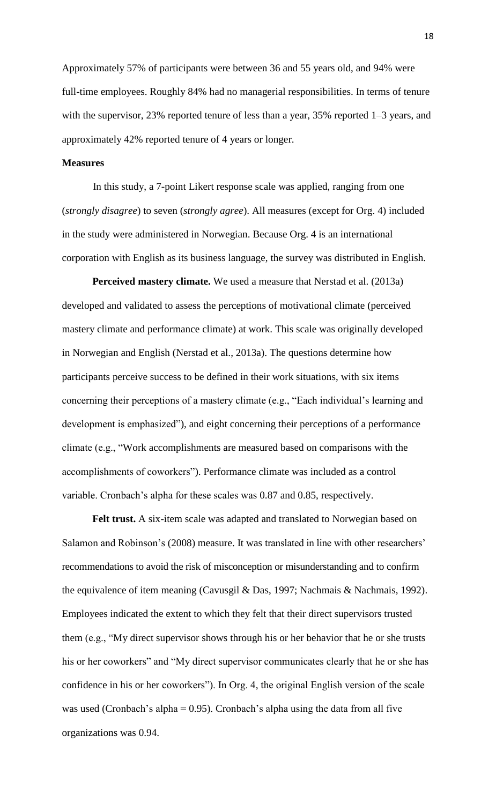Approximately 57% of participants were between 36 and 55 years old, and 94% were full-time employees. Roughly 84% had no managerial responsibilities. In terms of tenure with the supervisor, 23% reported tenure of less than a year, 35% reported 1–3 years, and approximately 42% reported tenure of 4 years or longer.

#### **Measures**

In this study, a 7-point Likert response scale was applied, ranging from one (*strongly disagree*) to seven (*strongly agree*). All measures (except for Org. 4) included in the study were administered in Norwegian. Because Org. 4 is an international corporation with English as its business language, the survey was distributed in English.

**Perceived mastery climate.** We used a measure that Nerstad et al. (2013a) developed and validated to assess the perceptions of motivational climate (perceived mastery climate and performance climate) at work. This scale was originally developed in Norwegian and English (Nerstad et al., 2013a). The questions determine how participants perceive success to be defined in their work situations, with six items concerning their perceptions of a mastery climate (e.g., "Each individual's learning and development is emphasized"), and eight concerning their perceptions of a performance climate (e.g., "Work accomplishments are measured based on comparisons with the accomplishments of coworkers"). Performance climate was included as a control variable. Cronbach's alpha for these scales was 0.87 and 0.85, respectively.

**Felt trust.** A six-item scale was adapted and translated to Norwegian based on Salamon and Robinson's (2008) measure. It was translated in line with other researchers' recommendations to avoid the risk of misconception or misunderstanding and to confirm the equivalence of item meaning (Cavusgil & Das, 1997; Nachmais & Nachmais, 1992). Employees indicated the extent to which they felt that their direct supervisors trusted them (e.g., "My direct supervisor shows through his or her behavior that he or she trusts his or her coworkers" and "My direct supervisor communicates clearly that he or she has confidence in his or her coworkers"). In Org. 4, the original English version of the scale was used (Cronbach's alpha =  $0.95$ ). Cronbach's alpha using the data from all five organizations was 0.94.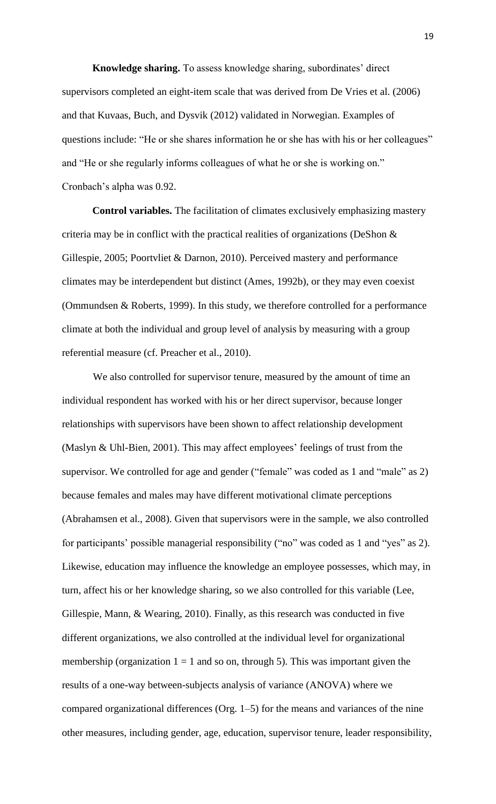**Knowledge sharing.** To assess knowledge sharing, subordinates' direct supervisors completed an eight-item scale that was derived from De Vries et al. (2006) and that Kuvaas, Buch, and Dysvik (2012) validated in Norwegian. Examples of questions include: "He or she shares information he or she has with his or her colleagues" and "He or she regularly informs colleagues of what he or she is working on." Cronbach's alpha was 0.92.

**Control variables.** The facilitation of climates exclusively emphasizing mastery criteria may be in conflict with the practical realities of organizations (DeShon  $\&$ Gillespie, 2005; Poortvliet & Darnon, 2010). Perceived mastery and performance climates may be interdependent but distinct (Ames, 1992b), or they may even coexist (Ommundsen & Roberts, 1999). In this study, we therefore controlled for a performance climate at both the individual and group level of analysis by measuring with a group referential measure (cf. Preacher et al., 2010).

We also controlled for supervisor tenure, measured by the amount of time an individual respondent has worked with his or her direct supervisor, because longer relationships with supervisors have been shown to affect relationship development (Maslyn & Uhl-Bien, 2001). This may affect employees' feelings of trust from the supervisor. We controlled for age and gender ("female" was coded as 1 and "male" as 2) because females and males may have different motivational climate perceptions (Abrahamsen et al., 2008). Given that supervisors were in the sample, we also controlled for participants' possible managerial responsibility ("no" was coded as 1 and "yes" as 2). Likewise, education may influence the knowledge an employee possesses, which may, in turn, affect his or her knowledge sharing, so we also controlled for this variable (Lee, Gillespie, Mann, & Wearing, 2010). Finally, as this research was conducted in five different organizations, we also controlled at the individual level for organizational membership (organization  $1 = 1$  and so on, through 5). This was important given the results of a one-way between-subjects analysis of variance (ANOVA) where we compared organizational differences (Org. 1–5) for the means and variances of the nine other measures, including gender, age, education, supervisor tenure, leader responsibility,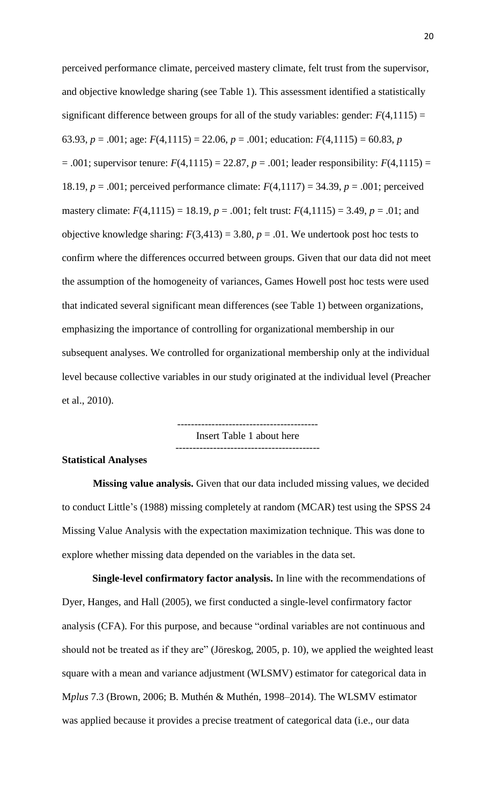perceived performance climate, perceived mastery climate, felt trust from the supervisor, and objective knowledge sharing (see Table 1). This assessment identified a statistically significant difference between groups for all of the study variables: gender:  $F(4,1115) =$ 63.93,  $p = .001$ ; age:  $F(4,1115) = 22.06$ ,  $p = .001$ ; education:  $F(4,1115) = 60.83$ ,  $p = .001$ ;  $= .001$ ; supervisor tenure:  $F(4,1115) = 22.87$ ,  $p = .001$ ; leader responsibility:  $F(4,1115) =$ 18.19, *p* = .001; perceived performance climate: *F*(4,1117) = 34.39, *p* = .001; perceived mastery climate:  $F(4,1115) = 18.19$ ,  $p = .001$ ; felt trust:  $F(4,1115) = 3.49$ ,  $p = .01$ ; and objective knowledge sharing:  $F(3,413) = 3.80$ ,  $p = .01$ . We undertook post hoc tests to confirm where the differences occurred between groups. Given that our data did not meet the assumption of the homogeneity of variances, Games Howell post hoc tests were used that indicated several significant mean differences (see Table 1) between organizations, emphasizing the importance of controlling for organizational membership in our subsequent analyses. We controlled for organizational membership only at the individual level because collective variables in our study originated at the individual level (Preacher et al., 2010).

> ----------------------------------------- Insert Table 1 about here ------------------------------------------

#### **Statistical Analyses**

**Missing value analysis.** Given that our data included missing values, we decided to conduct Little's (1988) missing completely at random (MCAR) test using the SPSS 24 Missing Value Analysis with the expectation maximization technique. This was done to explore whether missing data depended on the variables in the data set.

**Single-level confirmatory factor analysis.** In line with the recommendations of Dyer, Hanges, and Hall (2005), we first conducted a single-level confirmatory factor analysis (CFA). For this purpose, and because "ordinal variables are not continuous and should not be treated as if they are" (Jöreskog, 2005, p. 10), we applied the weighted least square with a mean and variance adjustment (WLSMV) estimator for categorical data in M*plus* 7.3 (Brown, 2006; B. Muthén & Muthén, 1998–2014). The WLSMV estimator was applied because it provides a precise treatment of categorical data (i.e., our data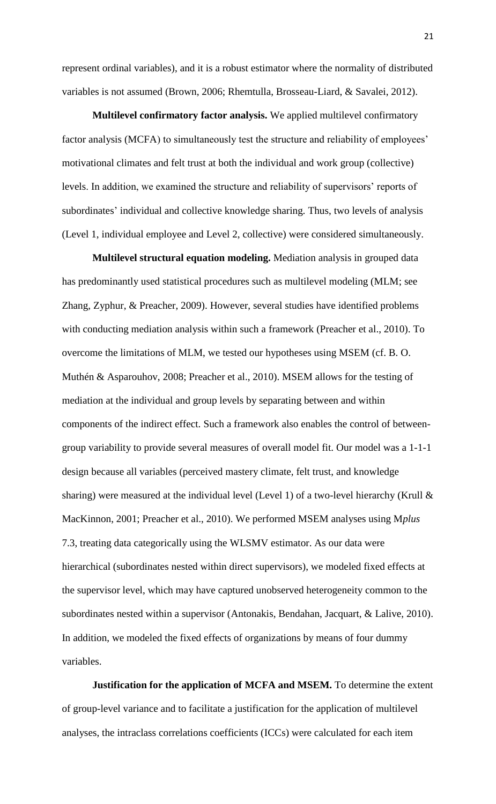represent ordinal variables), and it is a robust estimator where the normality of distributed variables is not assumed (Brown, 2006; Rhemtulla, Brosseau-Liard, & Savalei, 2012).

**Multilevel confirmatory factor analysis.** We applied multilevel confirmatory factor analysis (MCFA) to simultaneously test the structure and reliability of employees' motivational climates and felt trust at both the individual and work group (collective) levels. In addition, we examined the structure and reliability of supervisors' reports of subordinates' individual and collective knowledge sharing. Thus, two levels of analysis (Level 1, individual employee and Level 2, collective) were considered simultaneously.

**Multilevel structural equation modeling.** Mediation analysis in grouped data has predominantly used statistical procedures such as multilevel modeling (MLM; see Zhang, Zyphur, & Preacher, 2009). However, several studies have identified problems with conducting mediation analysis within such a framework (Preacher et al., 2010). To overcome the limitations of MLM, we tested our hypotheses using MSEM (cf. B. O. Muthén & Asparouhov, 2008; Preacher et al., 2010). MSEM allows for the testing of mediation at the individual and group levels by separating between and within components of the indirect effect. Such a framework also enables the control of betweengroup variability to provide several measures of overall model fit. Our model was a 1-1-1 design because all variables (perceived mastery climate, felt trust, and knowledge sharing) were measured at the individual level (Level 1) of a two-level hierarchy (Krull & MacKinnon, 2001; Preacher et al., 2010). We performed MSEM analyses using M*plus* 7.3, treating data categorically using the WLSMV estimator. As our data were hierarchical (subordinates nested within direct supervisors), we modeled fixed effects at the supervisor level, which may have captured unobserved heterogeneity common to the subordinates nested within a supervisor (Antonakis, Bendahan, Jacquart, & Lalive, 2010). In addition, we modeled the fixed effects of organizations by means of four dummy variables.

**Justification for the application of MCFA and MSEM.** To determine the extent of group-level variance and to facilitate a justification for the application of multilevel analyses, the intraclass correlations coefficients (ICCs) were calculated for each item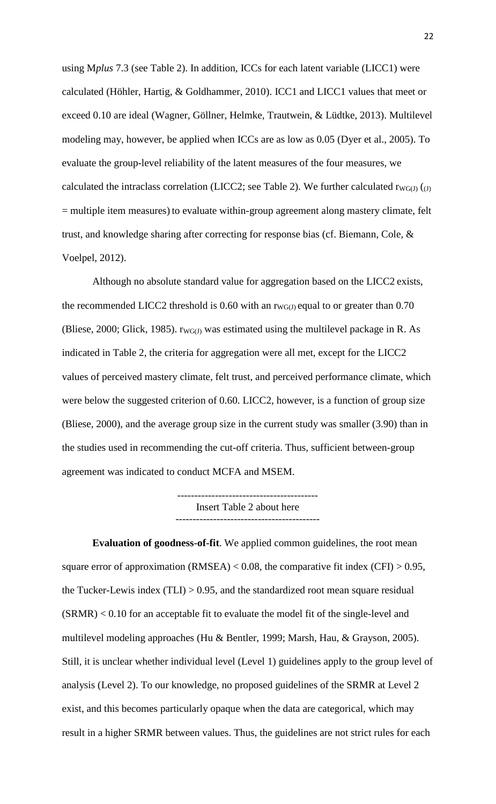using M*plus* 7.3 (see Table 2). In addition, ICCs for each latent variable (LICC1) were calculated (Höhler, Hartig, & Goldhammer, 2010). ICC1 and LICC1 values that meet or exceed 0.10 are ideal (Wagner, Göllner, Helmke, Trautwein, & Lüdtke, 2013). Multilevel modeling may, however, be applied when ICCs are as low as 0.05 (Dyer et al., 2005). To evaluate the group-level reliability of the latent measures of the four measures, we calculated the intraclass correlation (LICC2; see Table 2). We further calculated  $r_{WG(J)}(J)$ = multiple item measures) to evaluate within-group agreement along mastery climate, felt trust, and knowledge sharing after correcting for response bias (cf. Biemann, Cole, & Voelpel, 2012).

Although no absolute standard value for aggregation based on the LICC2 exists, the recommended LICC2 threshold is 0.60 with an  $r_{\text{WGG}}$  equal to or greater than 0.70 (Bliese, 2000; Glick, 1985).  $rw_{G(I)}$  was estimated using the multilevel package in R. As indicated in Table 2, the criteria for aggregation were all met, except for the LICC2 values of perceived mastery climate, felt trust, and perceived performance climate, which were below the suggested criterion of 0.60. LICC2, however, is a function of group size (Bliese, 2000), and the average group size in the current study was smaller (3.90) than in the studies used in recommending the cut-off criteria. Thus, sufficient between-group agreement was indicated to conduct MCFA and MSEM.

> ----------------------------------------- Insert Table 2 about here ------------------------------------------

**Evaluation of goodness-of-fit**. We applied common guidelines, the root mean square error of approximation  $(RMSEA) < 0.08$ , the comparative fit index  $(CFI) > 0.95$ , the Tucker-Lewis index  $(TLI) > 0.95$ , and the standardized root mean square residual (SRMR) < 0.10 for an acceptable fit to evaluate the model fit of the single-level and multilevel modeling approaches (Hu & Bentler, 1999; Marsh, Hau, & Grayson, 2005). Still, it is unclear whether individual level (Level 1) guidelines apply to the group level of analysis (Level 2). To our knowledge, no proposed guidelines of the SRMR at Level 2 exist, and this becomes particularly opaque when the data are categorical, which may result in a higher SRMR between values. Thus, the guidelines are not strict rules for each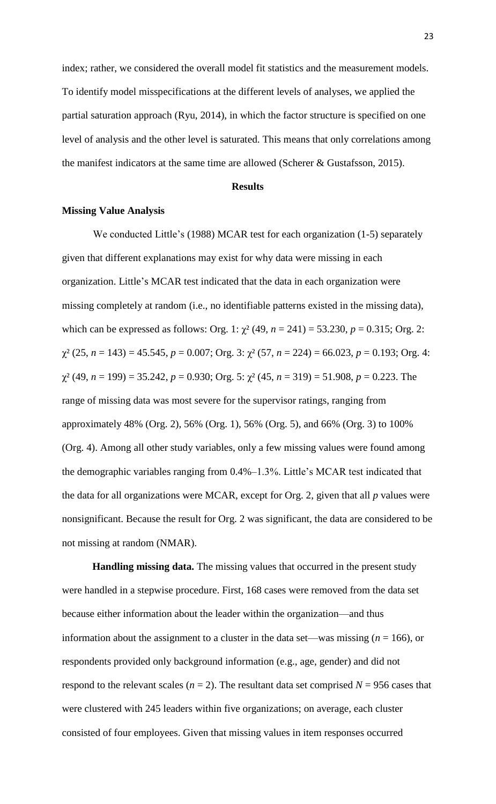index; rather, we considered the overall model fit statistics and the measurement models. To identify model misspecifications at the different levels of analyses, we applied the partial saturation approach (Ryu, 2014), in which the factor structure is specified on one level of analysis and the other level is saturated. This means that only correlations among the manifest indicators at the same time are allowed (Scherer & Gustafsson, 2015).

## **Results**

#### **Missing Value Analysis**

We conducted Little's (1988) MCAR test for each organization (1-5) separately given that different explanations may exist for why data were missing in each organization. Little's MCAR test indicated that the data in each organization were missing completely at random (i.e., no identifiable patterns existed in the missing data), which can be expressed as follows: Org. 1:  $\chi^2$  (49,  $n = 241$ ) = 53.230,  $p = 0.315$ ; Org. 2:  $\chi^2$  (25, *n* = 143) = 45.545, *p* = 0.007; Org. 3:  $\chi^2$  (57, *n* = 224) = 66.023, *p* = 0.193; Org. 4:  $\chi^2$  (49, *n* = 199) = 35.242, *p* = 0.930; Org. 5:  $\chi^2$  (45, *n* = 319) = 51.908, *p* = 0.223. The range of missing data was most severe for the supervisor ratings, ranging from approximately 48% (Org. 2), 56% (Org. 1), 56% (Org. 5), and 66% (Org. 3) to 100% (Org. 4). Among all other study variables, only a few missing values were found among the demographic variables ranging from 0.4%–1.3%. Little's MCAR test indicated that the data for all organizations were MCAR, except for Org. 2, given that all *p* values were nonsignificant. Because the result for Org. 2 was significant, the data are considered to be not missing at random (NMAR).

**Handling missing data.** The missing values that occurred in the present study were handled in a stepwise procedure. First, 168 cases were removed from the data set because either information about the leader within the organization—and thus information about the assignment to a cluster in the data set—was missing ( $n = 166$ ), or respondents provided only background information (e.g., age, gender) and did not respond to the relevant scales ( $n = 2$ ). The resultant data set comprised  $N = 956$  cases that were clustered with 245 leaders within five organizations; on average, each cluster consisted of four employees. Given that missing values in item responses occurred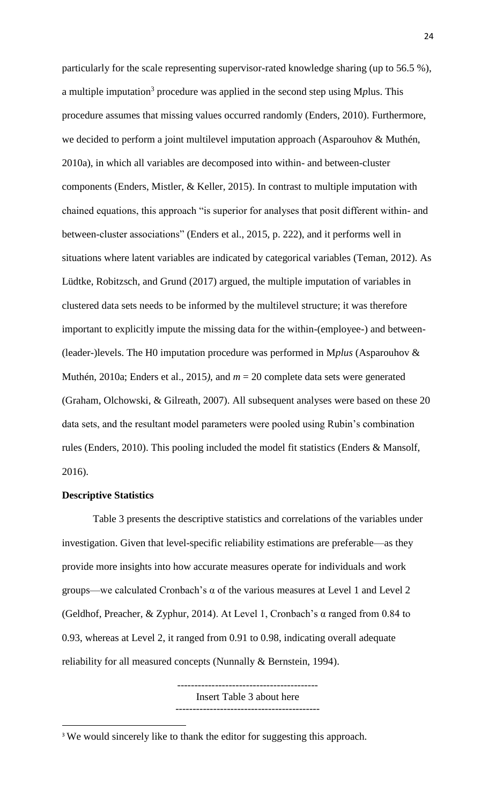particularly for the scale representing supervisor-rated knowledge sharing (up to 56.5 %), a multiple imputation<sup>3</sup> procedure was applied in the second step using Mplus. This procedure assumes that missing values occurred randomly (Enders, 2010). Furthermore, we decided to perform a joint multilevel imputation approach (Asparouhov & Muthén, 2010a), in which all variables are decomposed into within- and between-cluster components (Enders, Mistler, & Keller, 2015). In contrast to multiple imputation with chained equations, this approach "is superior for analyses that posit different within- and between-cluster associations" (Enders et al., 2015, p. 222), and it performs well in situations where latent variables are indicated by categorical variables (Teman, 2012). As Lüdtke, Robitzsch, and Grund (2017) argued, the multiple imputation of variables in clustered data sets needs to be informed by the multilevel structure; it was therefore important to explicitly impute the missing data for the within-(employee-) and between- (leader-)levels. The H0 imputation procedure was performed in M*plus* (Asparouhov & Muthén, 2010a; Enders et al., 2015*)*, and *m* = 20 complete data sets were generated (Graham, Olchowski, & Gilreath, 2007). All subsequent analyses were based on these 20 data sets, and the resultant model parameters were pooled using Rubin's combination rules (Enders, 2010). This pooling included the model fit statistics (Enders & Mansolf, 2016).

#### **Descriptive Statistics**

 $\overline{\phantom{a}}$ 

Table 3 presents the descriptive statistics and correlations of the variables under investigation. Given that level-specific reliability estimations are preferable—as they provide more insights into how accurate measures operate for individuals and work groups—we calculated Cronbach's  $\alpha$  of the various measures at Level 1 and Level 2 (Geldhof, Preacher, & Zyphur, 2014). At Level 1, Cronbach's α ranged from 0.84 to 0.93, whereas at Level 2, it ranged from 0.91 to 0.98, indicating overall adequate reliability for all measured concepts (Nunnally & Bernstein, 1994).

> ----------------------------------------- Insert Table 3 about here ------------------------------------------

<sup>&</sup>lt;sup>3</sup> We would sincerely like to thank the editor for suggesting this approach.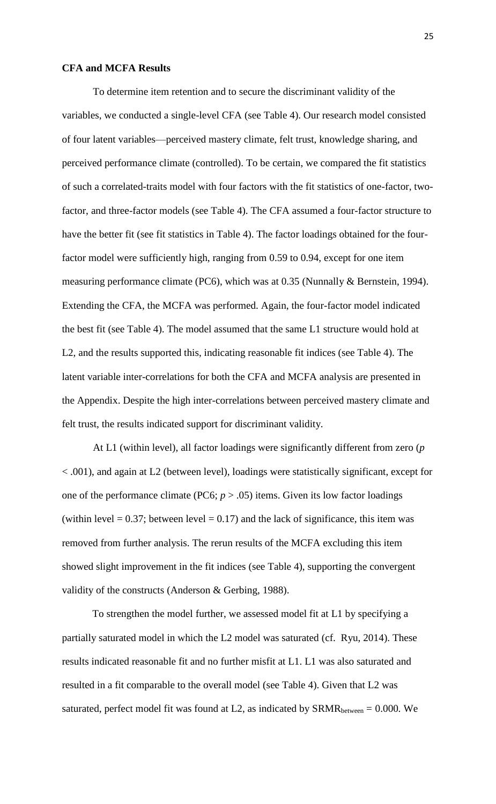### **CFA and MCFA Results**

To determine item retention and to secure the discriminant validity of the variables, we conducted a single-level CFA (see Table 4). Our research model consisted of four latent variables—perceived mastery climate, felt trust, knowledge sharing, and perceived performance climate (controlled). To be certain, we compared the fit statistics of such a correlated-traits model with four factors with the fit statistics of one-factor, twofactor, and three-factor models (see Table 4). The CFA assumed a four-factor structure to have the better fit (see fit statistics in Table 4). The factor loadings obtained for the fourfactor model were sufficiently high, ranging from 0.59 to 0.94, except for one item measuring performance climate (PC6), which was at 0.35 (Nunnally & Bernstein, 1994). Extending the CFA, the MCFA was performed. Again, the four-factor model indicated the best fit (see Table 4). The model assumed that the same L1 structure would hold at L2, and the results supported this, indicating reasonable fit indices (see Table 4). The latent variable inter-correlations for both the CFA and MCFA analysis are presented in the Appendix. Despite the high inter-correlations between perceived mastery climate and felt trust, the results indicated support for discriminant validity.

At L1 (within level), all factor loadings were significantly different from zero (*p* < .001), and again at L2 (between level), loadings were statistically significant, except for one of the performance climate (PC6;  $p > .05$ ) items. Given its low factor loadings (within level  $= 0.37$ ; between level  $= 0.17$ ) and the lack of significance, this item was removed from further analysis. The rerun results of the MCFA excluding this item showed slight improvement in the fit indices (see Table 4), supporting the convergent validity of the constructs (Anderson & Gerbing, 1988).

To strengthen the model further, we assessed model fit at L1 by specifying a partially saturated model in which the L2 model was saturated (cf. Ryu, 2014). These results indicated reasonable fit and no further misfit at L1. L1 was also saturated and resulted in a fit comparable to the overall model (see Table 4). Given that L2 was saturated, perfect model fit was found at L2, as indicated by  $SRMR_{between} = 0.000$ . We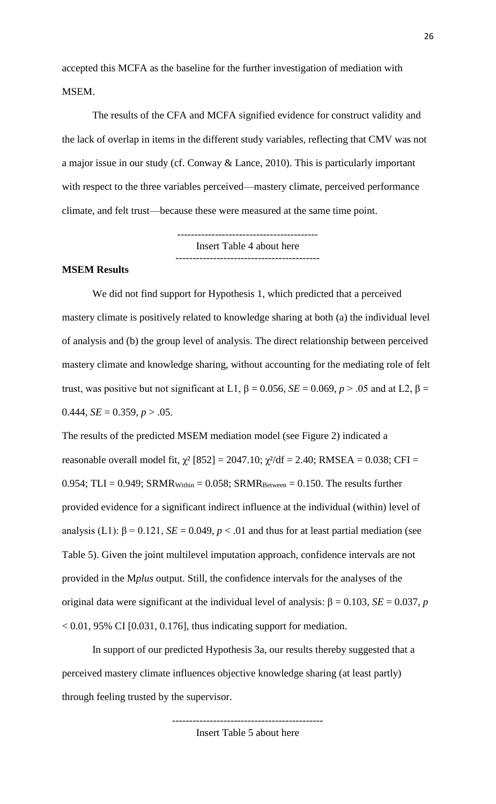accepted this MCFA as the baseline for the further investigation of mediation with MSEM.

The results of the CFA and MCFA signified evidence for construct validity and the lack of overlap in items in the different study variables, reflecting that CMV was not a major issue in our study (cf. Conway & Lance, 2010). This is particularly important with respect to the three variables perceived—mastery climate, perceived performance climate, and felt trust—because these were measured at the same time point.

> ----------------------------------------- Insert Table 4 about here ------------------------------------------

#### **MSEM Results**

We did not find support for Hypothesis 1, which predicted that a perceived mastery climate is positively related to knowledge sharing at both (a) the individual level of analysis and (b) the group level of analysis. The direct relationship between perceived mastery climate and knowledge sharing, without accounting for the mediating role of felt trust, was positive but not significant at L1,  $\beta = 0.056$ ,  $SE = 0.069$ ,  $p > .05$  and at L2,  $\beta =$ 0.444,  $SE = 0.359$ ,  $p > .05$ .

The results of the predicted MSEM mediation model (see Figure 2) indicated a reasonable overall model fit,  $\chi^2$  [852] = 2047.10;  $\chi^2$ /df = 2.40; RMSEA = 0.038; CFI = 0.954; TLI = 0.949; SRMR $_{\text{Within}}$  = 0.058; SRMR $_{\text{Between}}$  = 0.150. The results further provided evidence for a significant indirect influence at the individual (within) level of analysis (L1):  $\beta = 0.121$ ,  $SE = 0.049$ ,  $p < 0.01$  and thus for at least partial mediation (see Table 5). Given the joint multilevel imputation approach, confidence intervals are not provided in the M*plus* output. Still, the confidence intervals for the analyses of the original data were significant at the individual level of analysis:  $\beta = 0.103$ ,  $SE = 0.037$ , *p*  $< 0.01$ , 95% CI [0.031, 0.176], thus indicating support for mediation.

In support of our predicted Hypothesis 3a, our results thereby suggested that a perceived mastery climate influences objective knowledge sharing (at least partly) through feeling trusted by the supervisor.

> -------------------------------------------- Insert Table 5 about here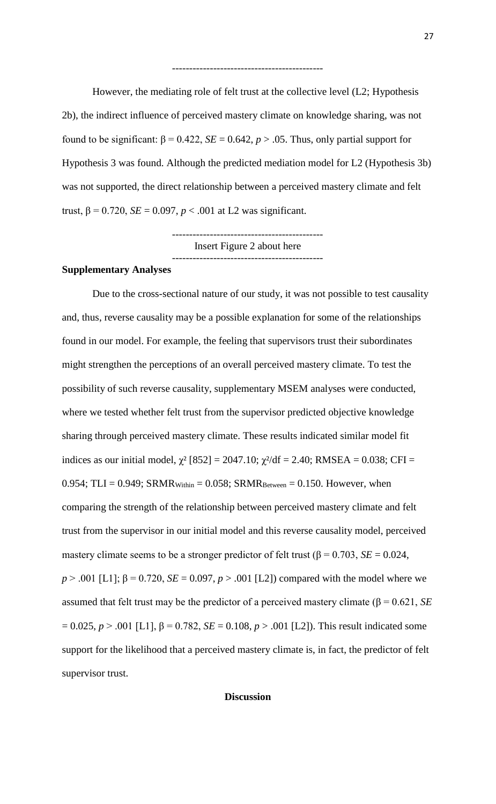However, the mediating role of felt trust at the collective level (L2; Hypothesis 2b), the indirect influence of perceived mastery climate on knowledge sharing, was not found to be significant:  $β = 0.422$ ,  $SE = 0.642$ ,  $p > .05$ . Thus, only partial support for Hypothesis 3 was found. Although the predicted mediation model for L2 (Hypothesis 3b) was not supported, the direct relationship between a perceived mastery climate and felt trust, β = 0.720, *SE* = 0.097, *p* < .001 at L2 was significant.

--------------------------------------------

-------------------------------------------- Insert Figure 2 about here --------------------------------------------

#### **Supplementary Analyses**

Due to the cross-sectional nature of our study, it was not possible to test causality and, thus, reverse causality may be a possible explanation for some of the relationships found in our model. For example, the feeling that supervisors trust their subordinates might strengthen the perceptions of an overall perceived mastery climate. To test the possibility of such reverse causality, supplementary MSEM analyses were conducted, where we tested whether felt trust from the supervisor predicted objective knowledge sharing through perceived mastery climate. These results indicated similar model fit indices as our initial model,  $\chi^2$  [852] = 2047.10;  $\chi^2$ /df = 2.40; RMSEA = 0.038; CFI = 0.954; TLI = 0.949; SRMR $_{\text{Within}}$  = 0.058; SRMR $_{\text{Between}}$  = 0.150. However, when comparing the strength of the relationship between perceived mastery climate and felt trust from the supervisor in our initial model and this reverse causality model, perceived mastery climate seems to be a stronger predictor of felt trust  $(\beta = 0.703, \, SE = 0.024,$ *p* > .001 [L1];  $\beta$  = 0.720, *SE* = 0.097, *p* > .001 [L2]) compared with the model where we assumed that felt trust may be the predictor of a perceived mastery climate ( $β = 0.621$ , *SE*  $= 0.025, p > .001$  [L1], β = 0.782, *SE* = 0.108, *p* > .001 [L2]). This result indicated some support for the likelihood that a perceived mastery climate is, in fact, the predictor of felt supervisor trust.

### **Discussion**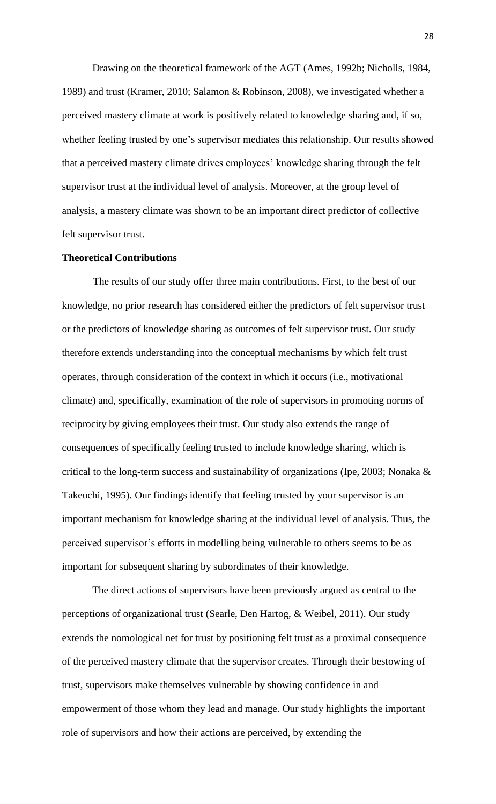Drawing on the theoretical framework of the AGT (Ames, 1992b; Nicholls, 1984, 1989) and trust (Kramer, 2010; Salamon & Robinson, 2008), we investigated whether a perceived mastery climate at work is positively related to knowledge sharing and, if so, whether feeling trusted by one's supervisor mediates this relationship. Our results showed that a perceived mastery climate drives employees' knowledge sharing through the felt supervisor trust at the individual level of analysis. Moreover, at the group level of analysis, a mastery climate was shown to be an important direct predictor of collective felt supervisor trust.

### **Theoretical Contributions**

The results of our study offer three main contributions. First, to the best of our knowledge, no prior research has considered either the predictors of felt supervisor trust or the predictors of knowledge sharing as outcomes of felt supervisor trust. Our study therefore extends understanding into the conceptual mechanisms by which felt trust operates, through consideration of the context in which it occurs (i.e., motivational climate) and, specifically, examination of the role of supervisors in promoting norms of reciprocity by giving employees their trust. Our study also extends the range of consequences of specifically feeling trusted to include knowledge sharing, which is critical to the long-term success and sustainability of organizations (Ipe, 2003; Nonaka & Takeuchi, 1995). Our findings identify that feeling trusted by your supervisor is an important mechanism for knowledge sharing at the individual level of analysis. Thus, the perceived supervisor's efforts in modelling being vulnerable to others seems to be as important for subsequent sharing by subordinates of their knowledge.

The direct actions of supervisors have been previously argued as central to the perceptions of organizational trust (Searle, Den Hartog, & Weibel, 2011). Our study extends the nomological net for trust by positioning felt trust as a proximal consequence of the perceived mastery climate that the supervisor creates. Through their bestowing of trust, supervisors make themselves vulnerable by showing confidence in and empowerment of those whom they lead and manage. Our study highlights the important role of supervisors and how their actions are perceived, by extending the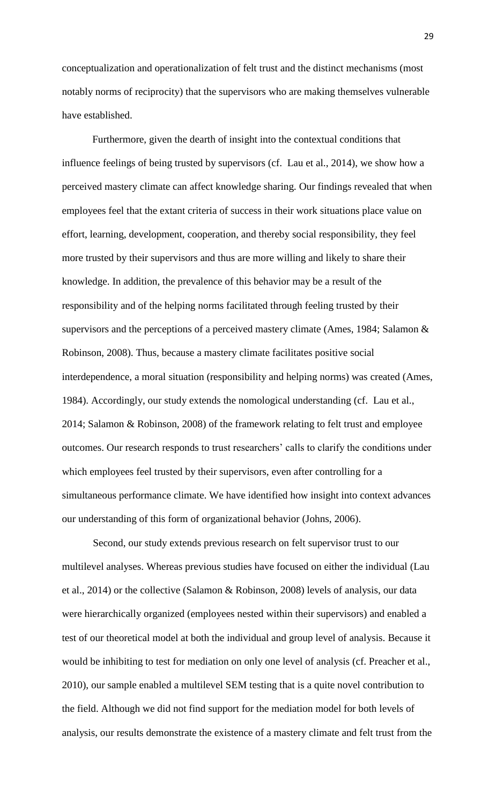conceptualization and operationalization of felt trust and the distinct mechanisms (most notably norms of reciprocity) that the supervisors who are making themselves vulnerable have established.

Furthermore, given the dearth of insight into the contextual conditions that influence feelings of being trusted by supervisors (cf. Lau et al., 2014), we show how a perceived mastery climate can affect knowledge sharing. Our findings revealed that when employees feel that the extant criteria of success in their work situations place value on effort, learning, development, cooperation, and thereby social responsibility, they feel more trusted by their supervisors and thus are more willing and likely to share their knowledge. In addition, the prevalence of this behavior may be a result of the responsibility and of the helping norms facilitated through feeling trusted by their supervisors and the perceptions of a perceived mastery climate (Ames, 1984; Salamon & Robinson, 2008). Thus, because a mastery climate facilitates positive social interdependence, a moral situation (responsibility and helping norms) was created (Ames, 1984). Accordingly, our study extends the nomological understanding (cf. Lau et al., 2014; Salamon & Robinson, 2008) of the framework relating to felt trust and employee outcomes. Our research responds to trust researchers' calls to clarify the conditions under which employees feel trusted by their supervisors, even after controlling for a simultaneous performance climate. We have identified how insight into context advances our understanding of this form of organizational behavior (Johns, 2006).

Second, our study extends previous research on felt supervisor trust to our multilevel analyses. Whereas previous studies have focused on either the individual (Lau et al., 2014) or the collective (Salamon & Robinson, 2008) levels of analysis, our data were hierarchically organized (employees nested within their supervisors) and enabled a test of our theoretical model at both the individual and group level of analysis. Because it would be inhibiting to test for mediation on only one level of analysis (cf. Preacher et al., 2010), our sample enabled a multilevel SEM testing that is a quite novel contribution to the field. Although we did not find support for the mediation model for both levels of analysis, our results demonstrate the existence of a mastery climate and felt trust from the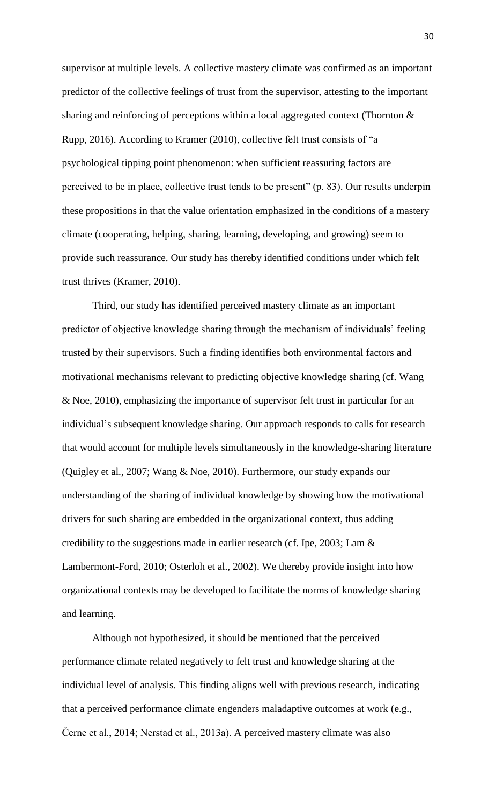supervisor at multiple levels. A collective mastery climate was confirmed as an important predictor of the collective feelings of trust from the supervisor, attesting to the important sharing and reinforcing of perceptions within a local aggregated context (Thornton & Rupp, 2016). According to Kramer (2010), collective felt trust consists of "a psychological tipping point phenomenon: when sufficient reassuring factors are perceived to be in place, collective trust tends to be present" (p. 83). Our results underpin these propositions in that the value orientation emphasized in the conditions of a mastery climate (cooperating, helping, sharing, learning, developing, and growing) seem to provide such reassurance. Our study has thereby identified conditions under which felt trust thrives (Kramer, 2010).

Third, our study has identified perceived mastery climate as an important predictor of objective knowledge sharing through the mechanism of individuals' feeling trusted by their supervisors. Such a finding identifies both environmental factors and motivational mechanisms relevant to predicting objective knowledge sharing (cf. Wang & Noe, 2010), emphasizing the importance of supervisor felt trust in particular for an individual's subsequent knowledge sharing. Our approach responds to calls for research that would account for multiple levels simultaneously in the knowledge-sharing literature (Quigley et al., 2007; Wang & Noe, 2010). Furthermore, our study expands our understanding of the sharing of individual knowledge by showing how the motivational drivers for such sharing are embedded in the organizational context, thus adding credibility to the suggestions made in earlier research (cf. Ipe, 2003; Lam & Lambermont-Ford, 2010; Osterloh et al., 2002). We thereby provide insight into how organizational contexts may be developed to facilitate the norms of knowledge sharing and learning.

Although not hypothesized, it should be mentioned that the perceived performance climate related negatively to felt trust and knowledge sharing at the individual level of analysis. This finding aligns well with previous research, indicating that a perceived performance climate engenders maladaptive outcomes at work (e.g., Černe et al., 2014; Nerstad et al., 2013a). A perceived mastery climate was also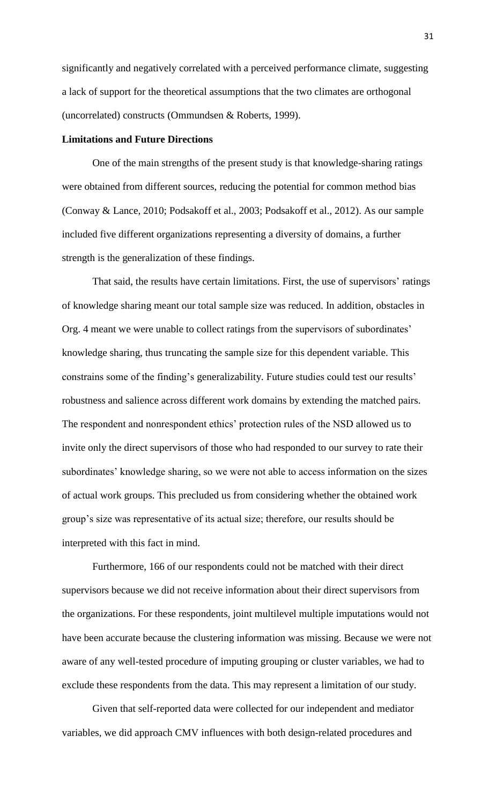significantly and negatively correlated with a perceived performance climate, suggesting a lack of support for the theoretical assumptions that the two climates are orthogonal (uncorrelated) constructs (Ommundsen & Roberts, 1999).

### **Limitations and Future Directions**

One of the main strengths of the present study is that knowledge-sharing ratings were obtained from different sources, reducing the potential for common method bias (Conway & Lance, 2010; Podsakoff et al., 2003; Podsakoff et al., 2012). As our sample included five different organizations representing a diversity of domains, a further strength is the generalization of these findings.

That said, the results have certain limitations. First, the use of supervisors' ratings of knowledge sharing meant our total sample size was reduced. In addition, obstacles in Org. 4 meant we were unable to collect ratings from the supervisors of subordinates' knowledge sharing, thus truncating the sample size for this dependent variable. This constrains some of the finding's generalizability. Future studies could test our results' robustness and salience across different work domains by extending the matched pairs. The respondent and nonrespondent ethics' protection rules of the NSD allowed us to invite only the direct supervisors of those who had responded to our survey to rate their subordinates' knowledge sharing, so we were not able to access information on the sizes of actual work groups. This precluded us from considering whether the obtained work group's size was representative of its actual size; therefore, our results should be interpreted with this fact in mind.

Furthermore, 166 of our respondents could not be matched with their direct supervisors because we did not receive information about their direct supervisors from the organizations. For these respondents, joint multilevel multiple imputations would not have been accurate because the clustering information was missing. Because we were not aware of any well-tested procedure of imputing grouping or cluster variables, we had to exclude these respondents from the data. This may represent a limitation of our study.

Given that self-reported data were collected for our independent and mediator variables, we did approach CMV influences with both design-related procedures and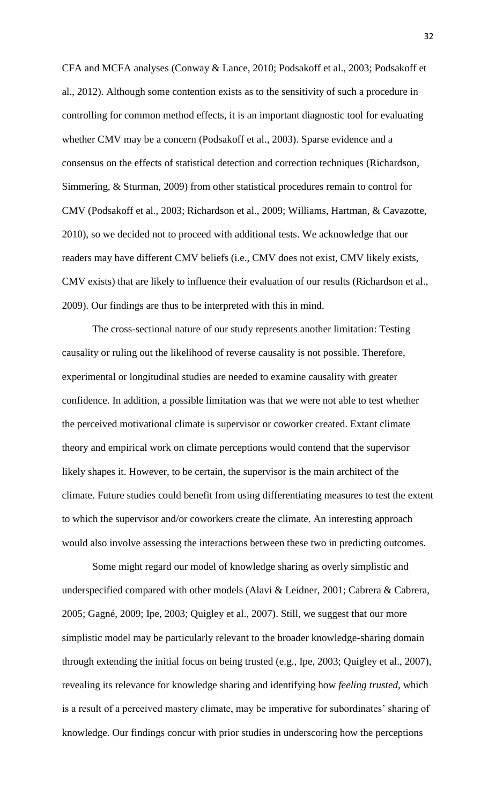CFA and MCFA analyses (Conway & Lance, 2010; Podsakoff et al., 2003; Podsakoff et al., 2012). Although some contention exists as to the sensitivity of such a procedure in controlling for common method effects, it is an important diagnostic tool for evaluating whether CMV may be a concern (Podsakoff et al., 2003). Sparse evidence and a consensus on the effects of statistical detection and correction techniques (Richardson, Simmering, & Sturman, 2009) from other statistical procedures remain to control for CMV (Podsakoff et al., 2003; Richardson et al., 2009; Williams, Hartman, & Cavazotte, 2010), so we decided not to proceed with additional tests. We acknowledge that our readers may have different CMV beliefs (i.e., CMV does not exist, CMV likely exists, CMV exists) that are likely to influence their evaluation of our results (Richardson et al., 2009). Our findings are thus to be interpreted with this in mind.

The cross-sectional nature of our study represents another limitation: Testing causality or ruling out the likelihood of reverse causality is not possible. Therefore, experimental or longitudinal studies are needed to examine causality with greater confidence. In addition, a possible limitation was that we were not able to test whether the perceived motivational climate is supervisor or coworker created. Extant climate theory and empirical work on climate perceptions would contend that the supervisor likely shapes it. However, to be certain, the supervisor is the main architect of the climate. Future studies could benefit from using differentiating measures to test the extent to which the supervisor and/or coworkers create the climate. An interesting approach would also involve assessing the interactions between these two in predicting outcomes.

Some might regard our model of knowledge sharing as overly simplistic and underspecified compared with other models (Alavi & Leidner, 2001; Cabrera & Cabrera, 2005; Gagné, 2009; Ipe, 2003; Quigley et al., 2007). Still, we suggest that our more simplistic model may be particularly relevant to the broader knowledge-sharing domain through extending the initial focus on being trusted (e.g., Ipe, 2003; Quigley et al., 2007), revealing its relevance for knowledge sharing and identifying how *feeling trusted*, which is a result of a perceived mastery climate, may be imperative for subordinates' sharing of knowledge. Our findings concur with prior studies in underscoring how the perceptions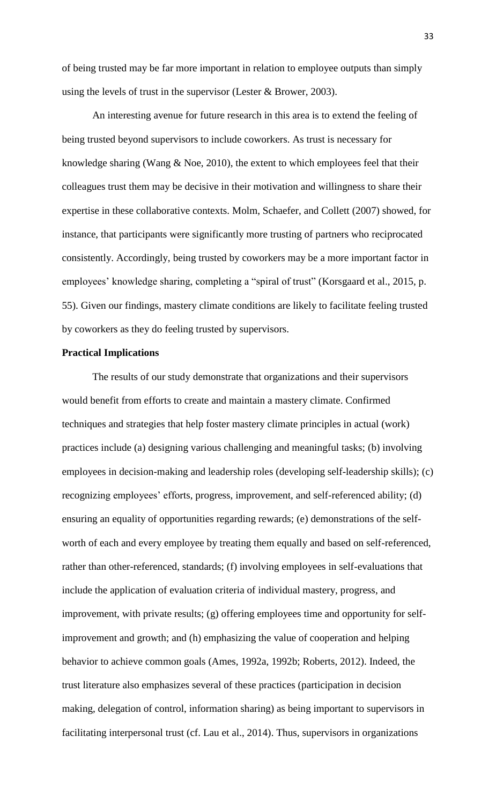of being trusted may be far more important in relation to employee outputs than simply using the levels of trust in the supervisor (Lester & Brower, 2003).

An interesting avenue for future research in this area is to extend the feeling of being trusted beyond supervisors to include coworkers. As trust is necessary for knowledge sharing (Wang  $\&$  Noe, 2010), the extent to which employees feel that their colleagues trust them may be decisive in their motivation and willingness to share their expertise in these collaborative contexts. Molm, Schaefer, and Collett (2007) showed, for instance, that participants were significantly more trusting of partners who reciprocated consistently. Accordingly, being trusted by coworkers may be a more important factor in employees' knowledge sharing, completing a "spiral of trust" (Korsgaard et al., 2015, p. 55). Given our findings, mastery climate conditions are likely to facilitate feeling trusted by coworkers as they do feeling trusted by supervisors.

## **Practical Implications**

The results of our study demonstrate that organizations and their supervisors would benefit from efforts to create and maintain a mastery climate. Confirmed techniques and strategies that help foster mastery climate principles in actual (work) practices include (a) designing various challenging and meaningful tasks; (b) involving employees in decision-making and leadership roles (developing self-leadership skills); (c) recognizing employees' efforts, progress, improvement, and self-referenced ability; (d) ensuring an equality of opportunities regarding rewards; (e) demonstrations of the selfworth of each and every employee by treating them equally and based on self-referenced, rather than other-referenced, standards; (f) involving employees in self-evaluations that include the application of evaluation criteria of individual mastery, progress, and improvement, with private results; (g) offering employees time and opportunity for selfimprovement and growth; and (h) emphasizing the value of cooperation and helping behavior to achieve common goals (Ames, 1992a, 1992b; Roberts, 2012). Indeed, the trust literature also emphasizes several of these practices (participation in decision making, delegation of control, information sharing) as being important to supervisors in facilitating interpersonal trust (cf. Lau et al., 2014). Thus, supervisors in organizations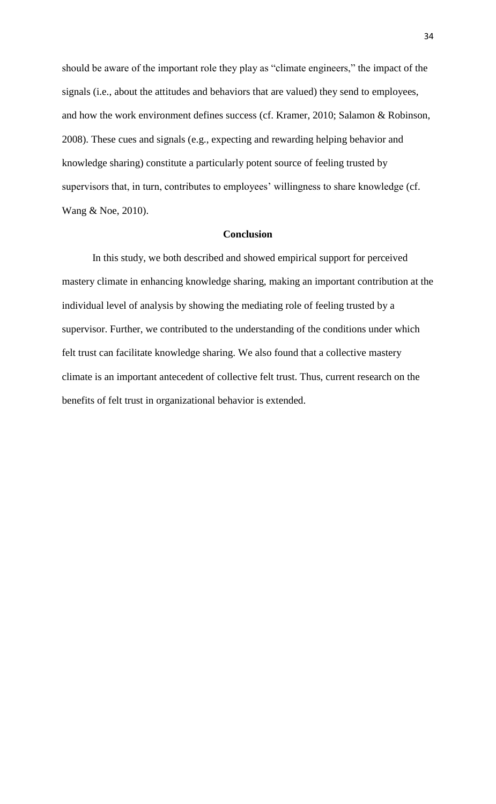should be aware of the important role they play as "climate engineers," the impact of the signals (i.e., about the attitudes and behaviors that are valued) they send to employees, and how the work environment defines success (cf. Kramer, 2010; Salamon & Robinson, 2008). These cues and signals (e.g., expecting and rewarding helping behavior and knowledge sharing) constitute a particularly potent source of feeling trusted by supervisors that, in turn, contributes to employees' willingness to share knowledge (cf. Wang & Noe, 2010).

### **Conclusion**

In this study, we both described and showed empirical support for perceived mastery climate in enhancing knowledge sharing, making an important contribution at the individual level of analysis by showing the mediating role of feeling trusted by a supervisor. Further, we contributed to the understanding of the conditions under which felt trust can facilitate knowledge sharing. We also found that a collective mastery climate is an important antecedent of collective felt trust. Thus, current research on the benefits of felt trust in organizational behavior is extended.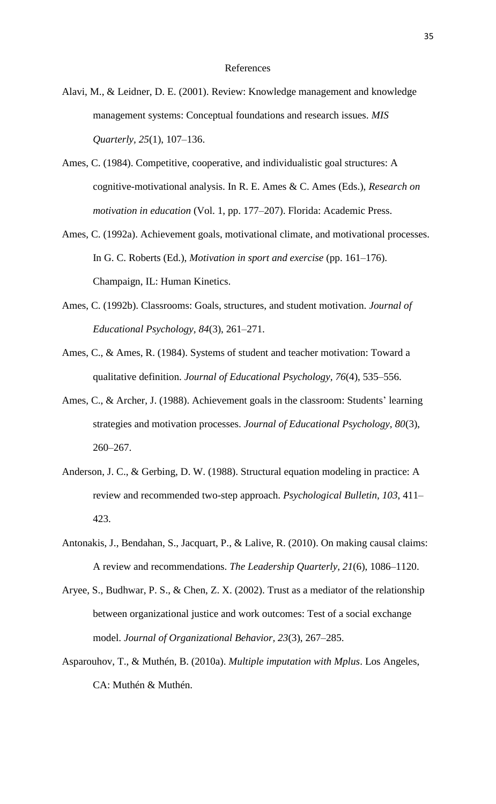- Alavi, M., & Leidner, D. E. (2001). Review: Knowledge management and knowledge management systems: Conceptual foundations and research issues. *MIS Quarterly, 25*(1), 107–136.
- Ames, C. (1984). Competitive, cooperative, and individualistic goal structures: A cognitive-motivational analysis. In R. E. Ames & C. Ames (Eds.), *Research on motivation in education* (Vol. 1, pp. 177–207). Florida: Academic Press.
- Ames, C. (1992a). Achievement goals, motivational climate, and motivational processes. In G. C. Roberts (Ed.), *Motivation in sport and exercise* (pp. 161–176). Champaign, IL: Human Kinetics.
- Ames, C. (1992b). Classrooms: Goals, structures, and student motivation. *Journal of Educational Psychology, 84*(3), 261–271.
- Ames, C., & Ames, R. (1984). Systems of student and teacher motivation: Toward a qualitative definition. *Journal of Educational Psychology, 76*(4), 535–556.
- Ames, C., & Archer, J. (1988). Achievement goals in the classroom: Students' learning strategies and motivation processes. *Journal of Educational Psychology, 80*(3), 260–267.
- Anderson, J. C., & Gerbing, D. W. (1988). Structural equation modeling in practice: A review and recommended two-step approach. *Psychological Bulletin, 103*, 411– 423.
- Antonakis, J., Bendahan, S., Jacquart, P., & Lalive, R. (2010). On making causal claims: A review and recommendations. *The Leadership Quarterly, 21*(6), 1086–1120.
- Aryee, S., Budhwar, P. S., & Chen, Z. X. (2002). Trust as a mediator of the relationship between organizational justice and work outcomes: Test of a social exchange model. *Journal of Organizational Behavior, 23*(3), 267–285.
- Asparouhov, T., & Muthén, B. (2010a). *Multiple imputation with Mplus*. Los Angeles, CA: Muthén & Muthén.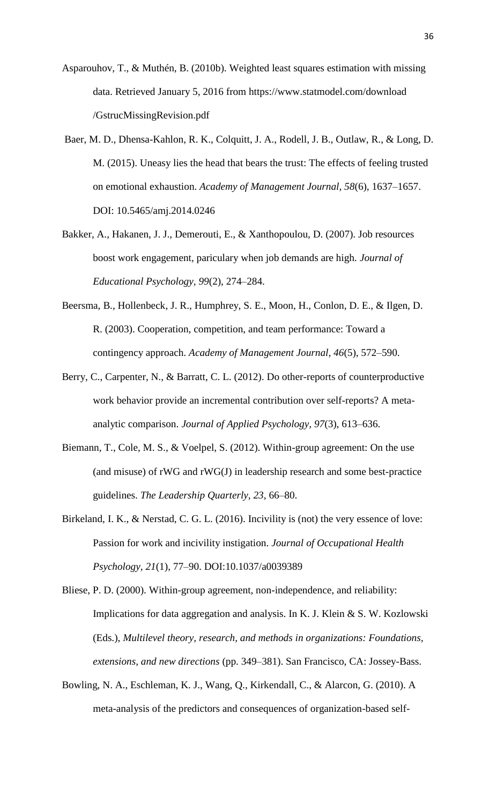- Asparouhov, T., & Muthén, B. (2010b). Weighted least squares estimation with missing data. Retrieved January 5, 2016 from https://www.statmodel.com/download /GstrucMissingRevision.pdf
- Baer, M. D., Dhensa-Kahlon, R. K., Colquitt, J. A., Rodell, J. B., Outlaw, R., & Long, D. M. (2015). Uneasy lies the head that bears the trust: The effects of feeling trusted on emotional exhaustion. *Academy of Management Journal, 58*(6), 1637–1657. DOI: 10.5465/amj.2014.0246
- Bakker, A., Hakanen, J. J., Demerouti, E., & Xanthopoulou, D. (2007). Job resources boost work engagement, pariculary when job demands are high. *Journal of Educational Psychology, 99*(2), 274–284.
- Beersma, B., Hollenbeck, J. R., Humphrey, S. E., Moon, H., Conlon, D. E., & Ilgen, D. R. (2003). Cooperation, competition, and team performance: Toward a contingency approach. *Academy of Management Journal, 46*(5), 572–590.
- Berry, C., Carpenter, N., & Barratt, C. L. (2012). Do other-reports of counterproductive work behavior provide an incremental contribution over self-reports? A metaanalytic comparison. *Journal of Applied Psychology, 97*(3), 613–636.
- Biemann, T., Cole, M. S., & Voelpel, S. (2012). Within-group agreement: On the use (and misuse) of rWG and rWG(J) in leadership research and some best-practice guidelines. *The Leadership Quarterly, 23*, 66–80.
- Birkeland, I. K., & Nerstad, C. G. L. (2016). Incivility is (not) the very essence of love: Passion for work and incivility instigation. *Journal of Occupational Health Psychology, 21*(1), 77–90. DOI:10.1037/a0039389
- Bliese, P. D. (2000). Within-group agreement, non-independence, and reliability: Implications for data aggregation and analysis. In K. J. Klein & S. W. Kozlowski (Eds.), *Multilevel theory, research, and methods in organizations: Foundations, extensions, and new directions* (pp. 349–381). San Francisco, CA: Jossey-Bass.
- Bowling, N. A., Eschleman, K. J., Wang, Q., Kirkendall, C., & Alarcon, G. (2010). A meta-analysis of the predictors and consequences of organization-based self-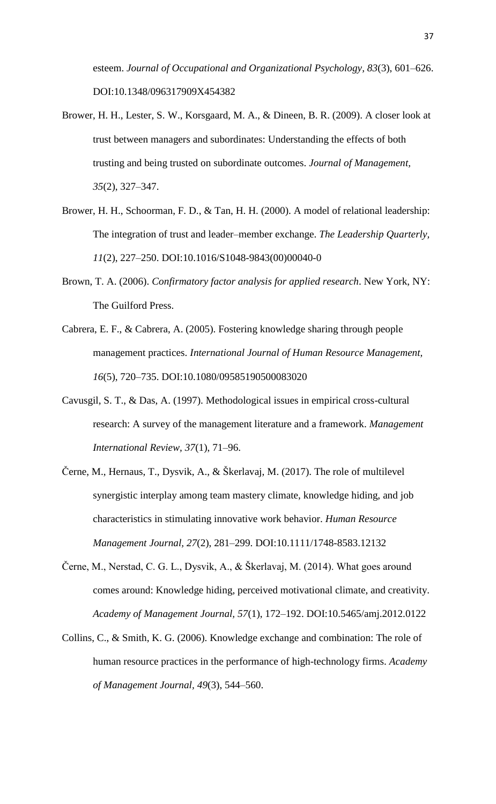esteem. *Journal of Occupational and Organizational Psychology, 83*(3), 601–626. DOI:10.1348/096317909X454382

- Brower, H. H., Lester, S. W., Korsgaard, M. A., & Dineen, B. R. (2009). A closer look at trust between managers and subordinates: Understanding the effects of both trusting and being trusted on subordinate outcomes. *Journal of Management, 35*(2), 327–347.
- Brower, H. H., Schoorman, F. D., & Tan, H. H. (2000). A model of relational leadership: The integration of trust and leader–member exchange. *The Leadership Quarterly, 11*(2), 227–250. DOI:10.1016/S1048-9843(00)00040-0
- Brown, T. A. (2006). *Confirmatory factor analysis for applied research*. New York, NY: The Guilford Press.
- Cabrera, E. F., & Cabrera, A. (2005). Fostering knowledge sharing through people management practices. *International Journal of Human Resource Management, 16*(5), 720–735. DOI:10.1080/09585190500083020
- Cavusgil, S. T., & Das, A. (1997). Methodological issues in empirical cross-cultural research: A survey of the management literature and a framework. *Management International Review, 37*(1), 71–96.
- Černe, M., Hernaus, T., Dysvik, A., & Škerlavaj, M. (2017). The role of multilevel synergistic interplay among team mastery climate, knowledge hiding, and job characteristics in stimulating innovative work behavior. *Human Resource Management Journal, 27*(2), 281–299. DOI:10.1111/1748-8583.12132
- Černe, M., Nerstad, C. G. L., Dysvik, A., & Škerlavaj, M. (2014). What goes around comes around: Knowledge hiding, perceived motivational climate, and creativity. *Academy of Management Journal, 57*(1), 172–192. DOI:10.5465/amj.2012.0122
- Collins, C., & Smith, K. G. (2006). Knowledge exchange and combination: The role of human resource practices in the performance of high-technology firms. *Academy of Management Journal, 49*(3), 544–560.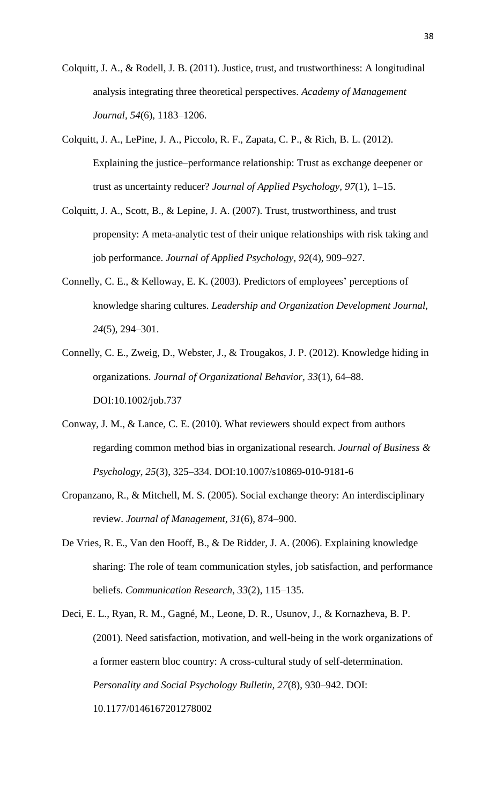- Colquitt, J. A., & Rodell, J. B. (2011). Justice, trust, and trustworthiness: A longitudinal analysis integrating three theoretical perspectives. *Academy of Management Journal, 54*(6), 1183–1206.
- Colquitt, J. A., LePine, J. A., Piccolo, R. F., Zapata, C. P., & Rich, B. L. (2012). Explaining the justice–performance relationship: Trust as exchange deepener or trust as uncertainty reducer? *Journal of Applied Psychology, 97*(1), 1–15.
- Colquitt, J. A., Scott, B., & Lepine, J. A. (2007). Trust, trustworthiness, and trust propensity: A meta-analytic test of their unique relationships with risk taking and job performance. *Journal of Applied Psychology, 92*(4), 909–927.
- Connelly, C. E., & Kelloway, E. K. (2003). Predictors of employees' perceptions of knowledge sharing cultures. *Leadership and Organization Development Journal, 24*(5), 294–301.
- Connelly, C. E., Zweig, D., Webster, J., & Trougakos, J. P. (2012). Knowledge hiding in organizations. *Journal of Organizational Behavior, 33*(1), 64–88. DOI:10.1002/job.737
- Conway, J. M., & Lance, C. E. (2010). What reviewers should expect from authors regarding common method bias in organizational research. *Journal of Business & Psychology, 25*(3), 325–334. DOI:10.1007/s10869-010-9181-6
- Cropanzano, R., & Mitchell, M. S. (2005). Social exchange theory: An interdisciplinary review. *Journal of Management, 31*(6), 874–900.
- De Vries, R. E., Van den Hooff, B., & De Ridder, J. A. (2006). Explaining knowledge sharing: The role of team communication styles, job satisfaction, and performance beliefs. *Communication Research, 33*(2), 115–135.
- Deci, E. L., Ryan, R. M., Gagné, M., Leone, D. R., Usunov, J., & Kornazheva, B. P. (2001). Need satisfaction, motivation, and well-being in the work organizations of a former eastern bloc country: A cross-cultural study of self-determination. *Personality and Social Psychology Bulletin, 27*(8), 930–942. DOI: 10.1177/0146167201278002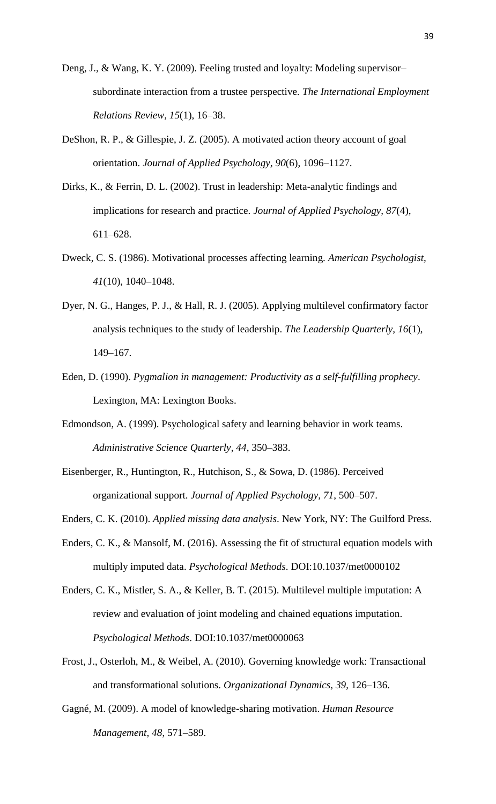- Deng, J., & Wang, K. Y. (2009). Feeling trusted and loyalty: Modeling supervisor– subordinate interaction from a trustee perspective. *The International Employment Relations Review, 15*(1), 16–38.
- DeShon, R. P., & Gillespie, J. Z. (2005). A motivated action theory account of goal orientation. *Journal of Applied Psychology, 90*(6), 1096–1127.
- Dirks, K., & Ferrin, D. L. (2002). Trust in leadership: Meta-analytic findings and implications for research and practice. *Journal of Applied Psychology, 87*(4), 611–628.
- Dweck, C. S. (1986). Motivational processes affecting learning. *American Psychologist, 41*(10), 1040–1048.
- Dyer, N. G., Hanges, P. J., & Hall, R. J. (2005). Applying multilevel confirmatory factor analysis techniques to the study of leadership. *The Leadership Quarterly, 16*(1), 149–167.
- Eden, D. (1990). *Pygmalion in management: Productivity as a self-fulfilling prophecy*. Lexington, MA: Lexington Books.
- Edmondson, A. (1999). Psychological safety and learning behavior in work teams. *Administrative Science Quarterly, 44*, 350–383.
- Eisenberger, R., Huntington, R., Hutchison, S., & Sowa, D. (1986). Perceived organizational support. *Journal of Applied Psychology, 71*, 500–507.
- Enders, C. K. (2010). *Applied missing data analysis*. New York, NY: The Guilford Press.
- Enders, C. K., & Mansolf, M. (2016). Assessing the fit of structural equation models with multiply imputed data. *Psychological Methods*. DOI:10.1037/met0000102
- Enders, C. K., Mistler, S. A., & Keller, B. T. (2015). Multilevel multiple imputation: A review and evaluation of joint modeling and chained equations imputation. *Psychological Methods*. DOI:10.1037/met0000063
- Frost, J., Osterloh, M., & Weibel, A. (2010). Governing knowledge work: Transactional and transformational solutions. *Organizational Dynamics, 39*, 126–136.
- Gagné, M. (2009). A model of knowledge-sharing motivation. *Human Resource Management, 48*, 571–589.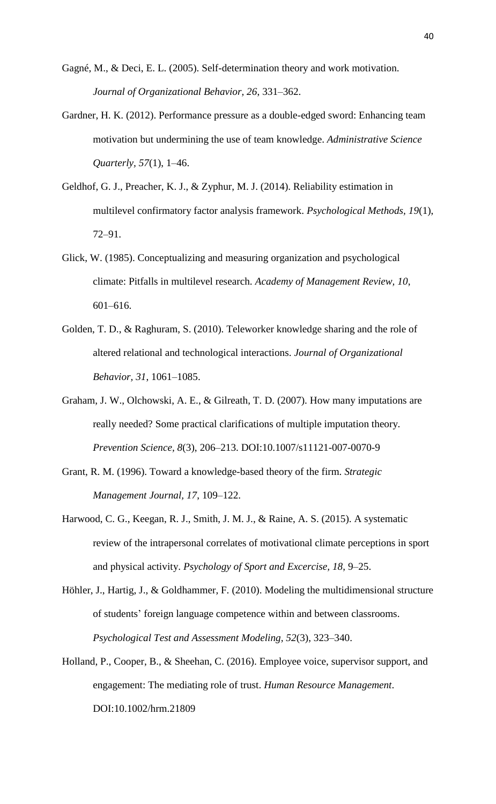- Gagné, M., & Deci, E. L. (2005). Self-determination theory and work motivation. *Journal of Organizational Behavior, 26*, 331–362.
- Gardner, H. K. (2012). Performance pressure as a double-edged sword: Enhancing team motivation but undermining the use of team knowledge. *Administrative Science Quarterly, 57*(1), 1–46.
- Geldhof, G. J., Preacher, K. J., & Zyphur, M. J. (2014). Reliability estimation in multilevel confirmatory factor analysis framework. *Psychological Methods, 19*(1), 72–91.
- Glick, W. (1985). Conceptualizing and measuring organization and psychological climate: Pitfalls in multilevel research. *Academy of Management Review, 10*, 601–616.
- Golden, T. D., & Raghuram, S. (2010). Teleworker knowledge sharing and the role of altered relational and technological interactions. *Journal of Organizational Behavior, 31*, 1061–1085.
- Graham, J. W., Olchowski, A. E., & Gilreath, T. D. (2007). How many imputations are really needed? Some practical clarifications of multiple imputation theory. *Prevention Science, 8*(3), 206–213. DOI:10.1007/s11121-007-0070-9
- Grant, R. M. (1996). Toward a knowledge-based theory of the firm. *Strategic Management Journal, 17*, 109–122.
- Harwood, C. G., Keegan, R. J., Smith, J. M. J., & Raine, A. S. (2015). A systematic review of the intrapersonal correlates of motivational climate perceptions in sport and physical activity. *Psychology of Sport and Excercise, 18*, 9–25.
- Höhler, J., Hartig, J., & Goldhammer, F. (2010). Modeling the multidimensional structure of students' foreign language competence within and between classrooms. *Psychological Test and Assessment Modeling, 52*(3), 323–340.
- Holland, P., Cooper, B., & Sheehan, C. (2016). Employee voice, supervisor support, and engagement: The mediating role of trust. *Human Resource Management*. DOI:10.1002/hrm.21809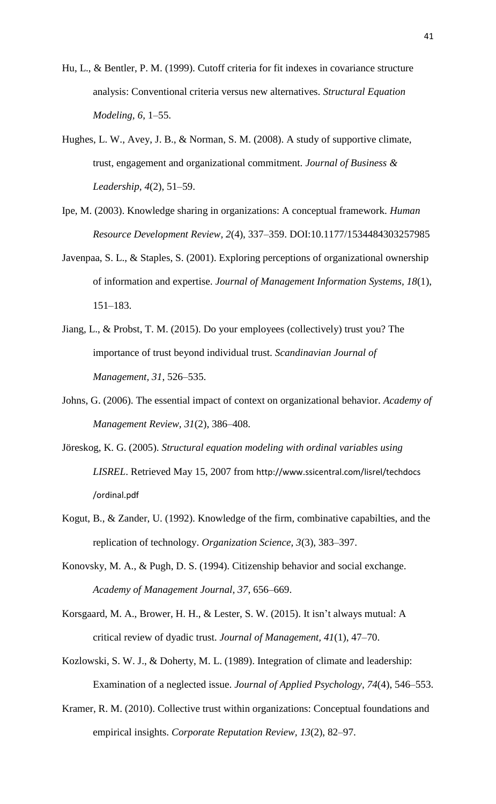- Hu, L., & Bentler, P. M. (1999). Cutoff criteria for fit indexes in covariance structure analysis: Conventional criteria versus new alternatives. *Structural Equation Modeling, 6*, 1–55.
- Hughes, L. W., Avey, J. B., & Norman, S. M. (2008). A study of supportive climate, trust, engagement and organizational commitment. *Journal of Business & Leadership, 4*(2), 51–59.
- Ipe, M. (2003). Knowledge sharing in organizations: A conceptual framework. *Human Resource Development Review, 2*(4), 337–359. DOI:10.1177/1534484303257985
- Javenpaa, S. L., & Staples, S. (2001). Exploring perceptions of organizational ownership of information and expertise. *Journal of Management Information Systems, 18*(1), 151–183.
- Jiang, L., & Probst, T. M. (2015). Do your employees (collectively) trust you? The importance of trust beyond individual trust. *Scandinavian Journal of Management, 31*, 526–535.
- Johns, G. (2006). The essential impact of context on organizational behavior. *Academy of Management Review, 31*(2), 386–408.
- Jöreskog, K. G. (2005). *Structural equation modeling with ordinal variables using LISREL*. Retrieved May 15, 2007 from http://www.ssicentral.com/lisrel/techdocs /ordinal.pdf
- Kogut, B., & Zander, U. (1992). Knowledge of the firm, combinative capabilties, and the replication of technology. *Organization Science, 3*(3), 383–397.
- Konovsky, M. A., & Pugh, D. S. (1994). Citizenship behavior and social exchange. *Academy of Management Journal, 37*, 656–669.
- Korsgaard, M. A., Brower, H. H., & Lester, S. W. (2015). It isn't always mutual: A critical review of dyadic trust. *Journal of Management, 41*(1), 47–70.
- Kozlowski, S. W. J., & Doherty, M. L. (1989). Integration of climate and leadership: Examination of a neglected issue. *Journal of Applied Psychology, 74*(4), 546–553.
- Kramer, R. M. (2010). Collective trust within organizations: Conceptual foundations and empirical insights. *Corporate Reputation Review, 13*(2), 82–97.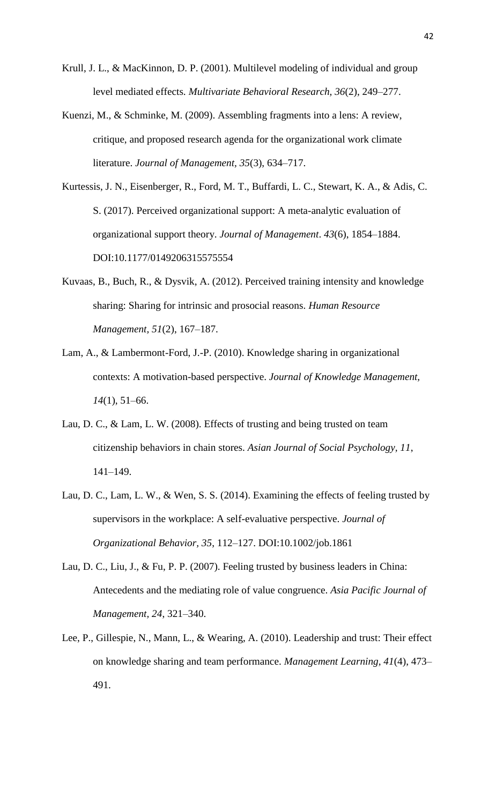- Krull, J. L., & MacKinnon, D. P. (2001). Multilevel modeling of individual and group level mediated effects. *Multivariate Behavioral Research, 36*(2), 249–277.
- Kuenzi, M., & Schminke, M. (2009). Assembling fragments into a lens: A review, critique, and proposed research agenda for the organizational work climate literature. *Journal of Management, 35*(3), 634–717.
- Kurtessis, J. N., Eisenberger, R., Ford, M. T., Buffardi, L. C., Stewart, K. A., & Adis, C. S. (2017). Perceived organizational support: A meta-analytic evaluation of organizational support theory. *Journal of Management*. *43*(6), 1854–1884. DOI:10.1177/0149206315575554
- Kuvaas, B., Buch, R., & Dysvik, A. (2012). Perceived training intensity and knowledge sharing: Sharing for intrinsic and prosocial reasons. *Human Resource Management, 51*(2), 167–187.
- Lam, A., & Lambermont-Ford, J.-P. (2010). Knowledge sharing in organizational contexts: A motivation-based perspective. *Journal of Knowledge Management, 14*(1), 51–66.
- Lau, D. C., & Lam, L. W. (2008). Effects of trusting and being trusted on team citizenship behaviors in chain stores. *Asian Journal of Social Psychology, 11*, 141–149.
- Lau, D. C., Lam, L. W., & Wen, S. S. (2014). Examining the effects of feeling trusted by supervisors in the workplace: A self-evaluative perspective. *Journal of Organizational Behavior, 35*, 112–127. DOI:10.1002/job.1861
- Lau, D. C., Liu, J., & Fu, P. P. (2007). Feeling trusted by business leaders in China: Antecedents and the mediating role of value congruence. *Asia Pacific Journal of Management, 24*, 321–340.
- Lee, P., Gillespie, N., Mann, L., & Wearing, A. (2010). Leadership and trust: Their effect on knowledge sharing and team performance. *Management Learning, 41*(4), 473– 491.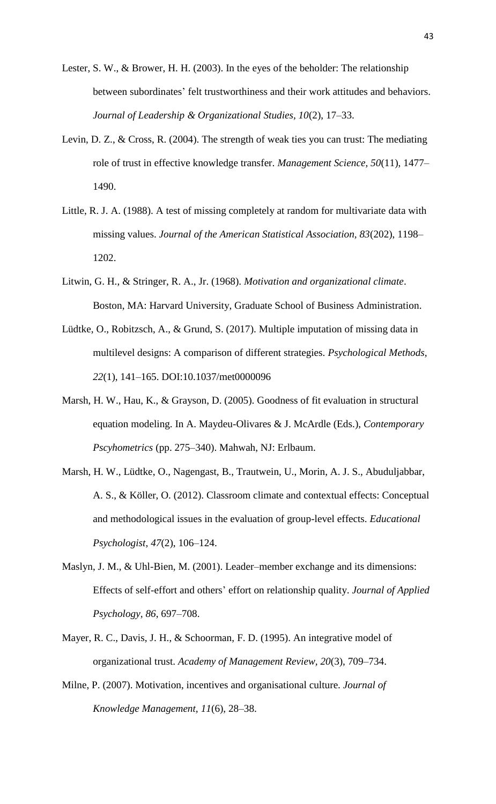- Lester, S. W., & Brower, H. H. (2003). In the eyes of the beholder: The relationship between subordinates' felt trustworthiness and their work attitudes and behaviors. *Journal of Leadership & Organizational Studies, 10*(2), 17–33.
- Levin, D. Z., & Cross, R. (2004). The strength of weak ties you can trust: The mediating role of trust in effective knowledge transfer. *Management Science, 50*(11), 1477– 1490.
- Little, R. J. A. (1988). A test of missing completely at random for multivariate data with missing values. *Journal of the American Statistical Association, 83*(202), 1198– 1202.
- Litwin, G. H., & Stringer, R. A., Jr. (1968). *Motivation and organizational climate*. Boston, MA: Harvard University, Graduate School of Business Administration.
- Lüdtke, O., Robitzsch, A., & Grund, S. (2017). Multiple imputation of missing data in multilevel designs: A comparison of different strategies. *Psychological Methods, 22*(1), 141–165. DOI:10.1037/met0000096
- Marsh, H. W., Hau, K., & Grayson, D. (2005). Goodness of fit evaluation in structural equation modeling. In A. Maydeu-Olivares & J. McArdle (Eds.), *Contemporary Pscyhometrics* (pp. 275–340). Mahwah, NJ: Erlbaum.
- Marsh, H. W., Lüdtke, O., Nagengast, B., Trautwein, U., Morin, A. J. S., Abuduljabbar, A. S., & Köller, O. (2012). Classroom climate and contextual effects: Conceptual and methodological issues in the evaluation of group-level effects. *Educational Psychologist, 47*(2), 106–124.
- Maslyn, J. M., & Uhl-Bien, M. (2001). Leader–member exchange and its dimensions: Effects of self-effort and others' effort on relationship quality. *Journal of Applied Psychology, 86*, 697–708.
- Mayer, R. C., Davis, J. H., & Schoorman, F. D. (1995). An integrative model of organizational trust. *Academy of Management Review, 20*(3), 709–734.
- Milne, P. (2007). Motivation, incentives and organisational culture. *Journal of Knowledge Management, 11*(6), 28–38.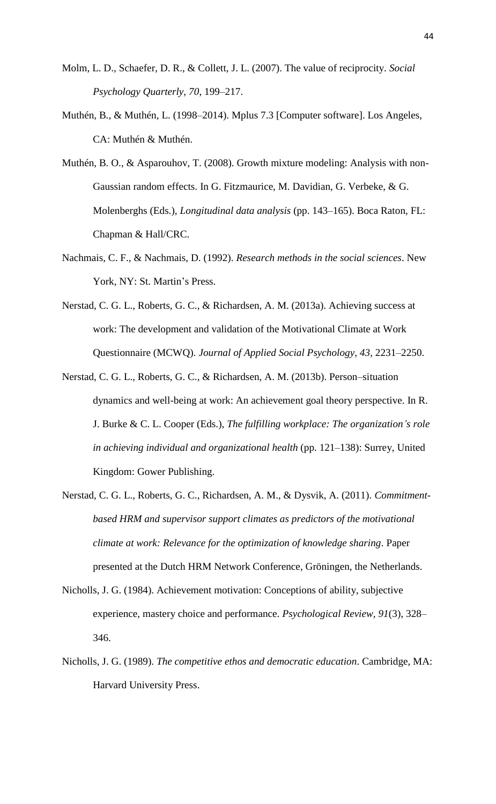- Molm, L. D., Schaefer, D. R., & Collett, J. L. (2007). The value of reciprocity. *Social Psychology Quarterly, 70*, 199–217.
- Muthén, B., & Muthén, L. (1998–2014). Mplus 7.3 [Computer software]. Los Angeles, CA: Muthén & Muthén.
- Muthén, B. O., & Asparouhov, T. (2008). Growth mixture modeling: Analysis with non-Gaussian random effects. In G. Fitzmaurice, M. Davidian, G. Verbeke, & G. Molenberghs (Eds.), *Longitudinal data analysis* (pp. 143–165). Boca Raton, FL: Chapman & Hall/CRC.
- Nachmais, C. F., & Nachmais, D. (1992). *Research methods in the social sciences*. New York, NY: St. Martin's Press.
- Nerstad, C. G. L., Roberts, G. C., & Richardsen, A. M. (2013a). Achieving success at work: The development and validation of the Motivational Climate at Work Questionnaire (MCWQ). *Journal of Applied Social Psychology, 43*, 2231–2250.
- Nerstad, C. G. L., Roberts, G. C., & Richardsen, A. M. (2013b). Person–situation dynamics and well-being at work: An achievement goal theory perspective. In R. J. Burke & C. L. Cooper (Eds.), *The fulfilling workplace: The organization's role in achieving individual and organizational health* (pp. 121–138): Surrey, United Kingdom: Gower Publishing.
- Nerstad, C. G. L., Roberts, G. C., Richardsen, A. M., & Dysvik, A. (2011). *Commitmentbased HRM and supervisor support climates as predictors of the motivational climate at work: Relevance for the optimization of knowledge sharing*. Paper presented at the Dutch HRM Network Conference, Gröningen, the Netherlands.
- Nicholls, J. G. (1984). Achievement motivation: Conceptions of ability, subjective experience, mastery choice and performance. *Psychological Review, 91*(3), 328– 346.
- Nicholls, J. G. (1989). *The competitive ethos and democratic education*. Cambridge, MA: Harvard University Press.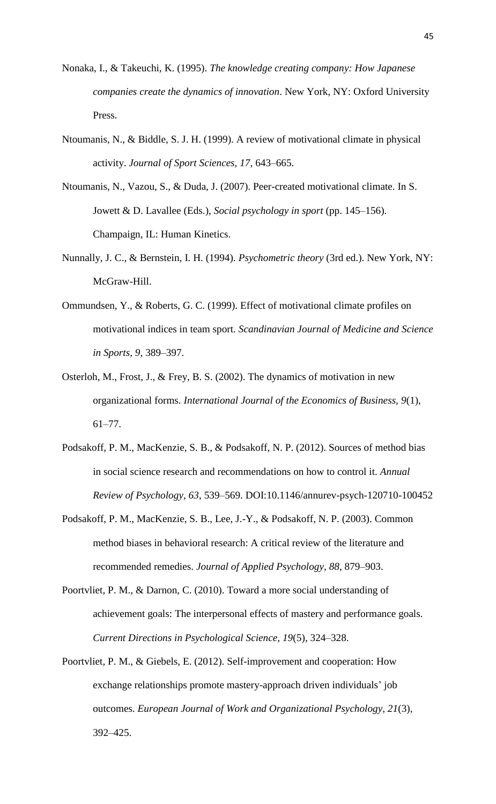- Nonaka, I., & Takeuchi, K. (1995). *The knowledge creating company: How Japanese companies create the dynamics of innovation*. New York, NY: Oxford University Press.
- Ntoumanis, N., & Biddle, S. J. H. (1999). A review of motivational climate in physical activity. *Journal of Sport Sciences, 17*, 643–665.
- Ntoumanis, N., Vazou, S., & Duda, J. (2007). Peer-created motivational climate. In S. Jowett & D. Lavallee (Eds.), *Social psychology in sport* (pp. 145–156). Champaign, IL: Human Kinetics.
- Nunnally, J. C., & Bernstein, I. H. (1994). *Psychometric theory* (3rd ed.). New York, NY: McGraw-Hill.
- Ommundsen, Y., & Roberts, G. C. (1999). Effect of motivational climate profiles on motivational indices in team sport. *Scandinavian Journal of Medicine and Science in Sports, 9*, 389–397.
- Osterloh, M., Frost, J., & Frey, B. S. (2002). The dynamics of motivation in new organizational forms. *International Journal of the Economics of Business, 9*(1), 61–77.
- Podsakoff, P. M., MacKenzie, S. B., & Podsakoff, N. P. (2012). Sources of method bias in social science research and recommendations on how to control it. *Annual Review of Psychology, 63*, 539–569. DOI:10.1146/annurev-psych-120710-100452
- Podsakoff, P. M., MacKenzie, S. B., Lee, J.-Y., & Podsakoff, N. P. (2003). Common method biases in behavioral research: A critical review of the literature and recommended remedies. *Journal of Applied Psychology, 88*, 879–903.
- Poortvliet, P. M., & Darnon, C. (2010). Toward a more social understanding of achievement goals: The interpersonal effects of mastery and performance goals. *Current Directions in Psychological Science, 19*(5), 324–328.
- Poortvliet, P. M., & Giebels, E. (2012). Self-improvement and cooperation: How exchange relationships promote mastery-approach driven individuals' job outcomes. *European Journal of Work and Organizational Psychology, 21*(3), 392–425.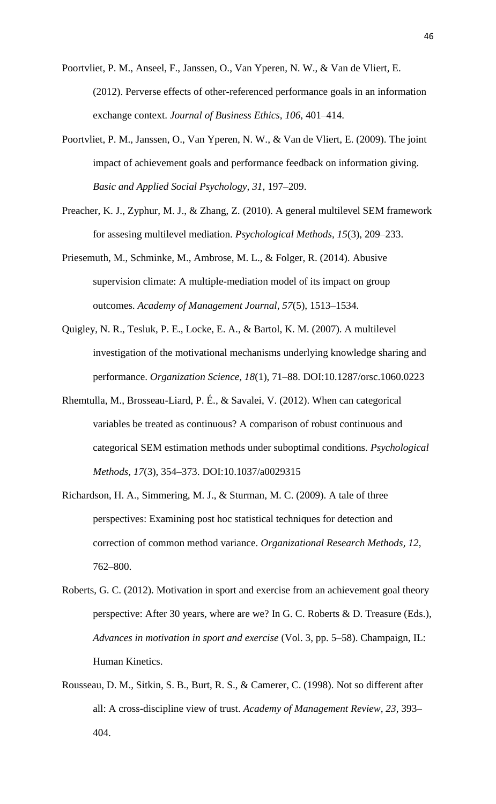- Poortvliet, P. M., Anseel, F., Janssen, O., Van Yperen, N. W., & Van de Vliert, E. (2012). Perverse effects of other-referenced performance goals in an information exchange context. *Journal of Business Ethics, 106*, 401–414.
- Poortvliet, P. M., Janssen, O., Van Yperen, N. W., & Van de Vliert, E. (2009). The joint impact of achievement goals and performance feedback on information giving. *Basic and Applied Social Psychology, 31*, 197–209.
- Preacher, K. J., Zyphur, M. J., & Zhang, Z. (2010). A general multilevel SEM framework for assesing multilevel mediation. *Psychological Methods, 15*(3), 209–233.
- Priesemuth, M., Schminke, M., Ambrose, M. L., & Folger, R. (2014). Abusive supervision climate: A multiple-mediation model of its impact on group outcomes. *Academy of Management Journal, 57*(5), 1513–1534.
- Quigley, N. R., Tesluk, P. E., Locke, E. A., & Bartol, K. M. (2007). A multilevel investigation of the motivational mechanisms underlying knowledge sharing and performance. *Organization Science, 18*(1), 71–88. DOI:10.1287/orsc.1060.0223
- Rhemtulla, M., Brosseau-Liard, P. É., & Savalei, V. (2012). When can categorical variables be treated as continuous? A comparison of robust continuous and categorical SEM estimation methods under suboptimal conditions. *Psychological Methods, 17*(3), 354–373. DOI:10.1037/a0029315
- Richardson, H. A., Simmering, M. J., & Sturman, M. C. (2009). A tale of three perspectives: Examining post hoc statistical techniques for detection and correction of common method variance. *Organizational Research Methods, 12*, 762–800.
- Roberts, G. C. (2012). Motivation in sport and exercise from an achievement goal theory perspective: After 30 years, where are we? In G. C. Roberts & D. Treasure (Eds.), *Advances in motivation in sport and exercise* (Vol. 3, pp. 5–58). Champaign, IL: Human Kinetics.
- Rousseau, D. M., Sitkin, S. B., Burt, R. S., & Camerer, C. (1998). Not so different after all: A cross-discipline view of trust. *Academy of Management Review, 23*, 393– 404.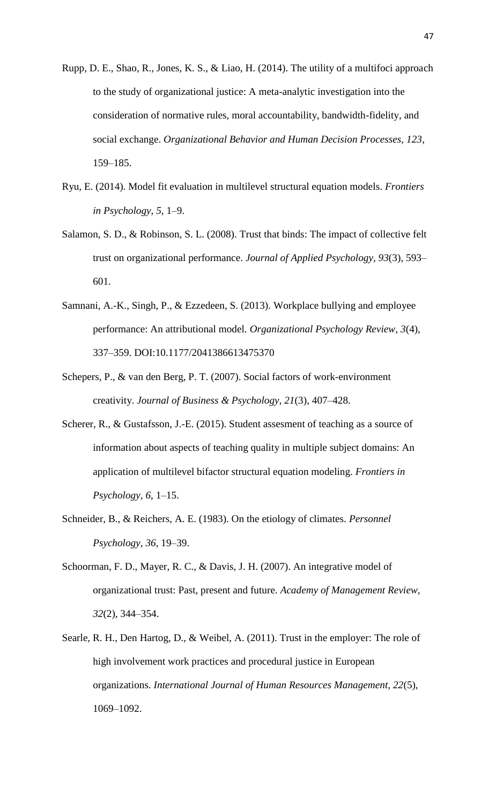- Rupp, D. E., Shao, R., Jones, K. S., & Liao, H. (2014). The utility of a multifoci approach to the study of organizational justice: A meta-analytic investigation into the consideration of normative rules, moral accountability, bandwidth-fidelity, and social exchange. *Organizational Behavior and Human Decision Processes, 123*, 159–185.
- Ryu, E. (2014). Model fit evaluation in multilevel structural equation models. *Frontiers in Psychology, 5*, 1–9.
- Salamon, S. D., & Robinson, S. L. (2008). Trust that binds: The impact of collective felt trust on organizational performance. *Journal of Applied Psychology, 93*(3), 593– 601.
- Samnani, A.-K., Singh, P., & Ezzedeen, S. (2013). Workplace bullying and employee performance: An attributional model. *Organizational Psychology Review, 3*(4), 337–359. DOI:10.1177/2041386613475370
- Schepers, P., & van den Berg, P. T. (2007). Social factors of work-environment creativity. *Journal of Business & Psychology, 21*(3), 407–428.
- Scherer, R., & Gustafsson, J.-E. (2015). Student assesment of teaching as a source of information about aspects of teaching quality in multiple subject domains: An application of multilevel bifactor structural equation modeling. *Frontiers in Psychology, 6*, 1–15.
- Schneider, B., & Reichers, A. E. (1983). On the etiology of climates. *Personnel Psychology, 36*, 19–39.
- Schoorman, F. D., Mayer, R. C., & Davis, J. H. (2007). An integrative model of organizational trust: Past, present and future. *Academy of Management Review, 32*(2), 344–354.
- Searle, R. H., Den Hartog, D., & Weibel, A. (2011). Trust in the employer: The role of high involvement work practices and procedural justice in European organizations. *International Journal of Human Resources Management, 22*(5), 1069–1092.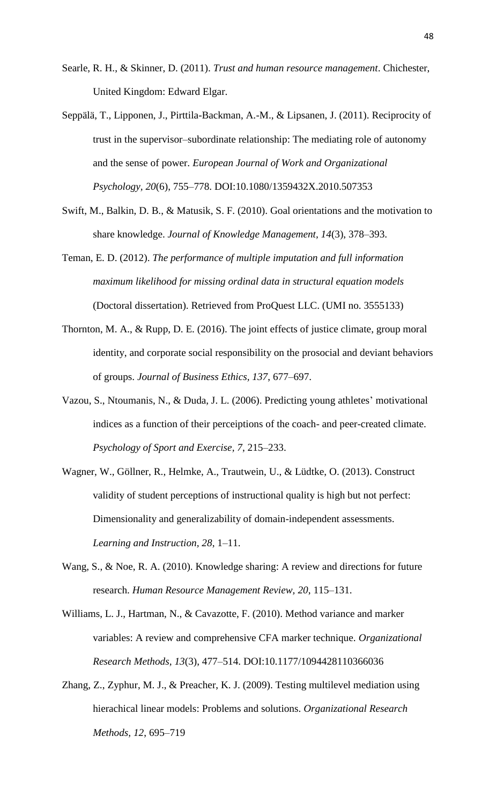- Searle, R. H., & Skinner, D. (2011). *Trust and human resource management*. Chichester, United Kingdom: Edward Elgar.
- Seppälä, T., Lipponen, J., Pirttila-Backman, A.-M., & Lipsanen, J. (2011). Reciprocity of trust in the supervisor–subordinate relationship: The mediating role of autonomy and the sense of power. *European Journal of Work and Organizational Psychology, 20*(6), 755–778. DOI:10.1080/1359432X.2010.507353
- Swift, M., Balkin, D. B., & Matusik, S. F. (2010). Goal orientations and the motivation to share knowledge. *Journal of Knowledge Management, 14*(3), 378–393.
- Teman, E. D. (2012). *The performance of multiple imputation and full information maximum likelihood for missing ordinal data in structural equation models* (Doctoral dissertation). Retrieved from ProQuest LLC. (UMI no. 3555133)
- Thornton, M. A., & Rupp, D. E. (2016). The joint effects of justice climate, group moral identity, and corporate social responsibility on the prosocial and deviant behaviors of groups. *Journal of Business Ethics, 137*, 677–697.
- Vazou, S., Ntoumanis, N., & Duda, J. L. (2006). Predicting young athletes' motivational indices as a function of their perceiptions of the coach- and peer-created climate. *Psychology of Sport and Exercise, 7*, 215–233.
- Wagner, W., Göllner, R., Helmke, A., Trautwein, U., & Lüdtke, O. (2013). Construct validity of student perceptions of instructional quality is high but not perfect: Dimensionality and generalizability of domain-independent assessments. *Learning and Instruction, 28*, 1–11.
- Wang, S., & Noe, R. A. (2010). Knowledge sharing: A review and directions for future research. *Human Resource Management Review, 20*, 115–131.
- Williams, L. J., Hartman, N., & Cavazotte, F. (2010). Method variance and marker variables: A review and comprehensive CFA marker technique. *Organizational Research Methods, 13*(3), 477–514. DOI:10.1177/1094428110366036
- Zhang, Z., Zyphur, M. J., & Preacher, K. J. (2009). Testing multilevel mediation using hierachical linear models: Problems and solutions. *Organizational Research Methods, 12*, 695–719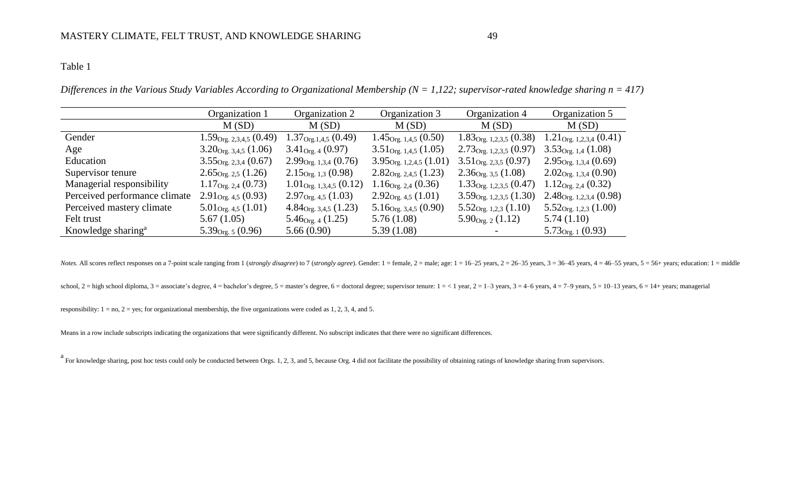*Differences in the Various Study Variables According to Organizational Membership (N = 1,122; supervisor-rated knowledge sharing n = 417)*

|                                | Organization 1                     | Organization 2                     | Organization 3                      | Organization 4                      | Organization 5                     |
|--------------------------------|------------------------------------|------------------------------------|-------------------------------------|-------------------------------------|------------------------------------|
|                                | M(SD)                              | M(SD)                              | M(SD)                               | M(SD)                               | M(SD)                              |
| Gender                         | $1.59_{\text{Org. }2,3,4,5}(0.49)$ | $1.37_{\text{Org.1,4,5}}(0.49)$    | $1.45_{\text{Org. }1,4,5}$ (0.50)   | $1.83_{\text{Org. }1,2,3,5}$ (0.38) | $1.21_{\text{Org. }1,2,3,4}(0.41)$ |
| Age                            | $3.20_{\text{Org. }3,4,5}$ (1.06)  | $3.41_{\text{Org. }4}(0.97)$       | $3.51_{\text{Org. }1,4,5}$ (1.05)   | $2.73_{\text{Org. }1,2,3,5}(0.97)$  | $3.53_{\text{Org. 1,4}} (1.08)$    |
| Education                      | $3.55_{\text{Org. }2,3,4}(0.67)$   | $2.99_{\text{Org. }1,3,4}(0.76)$   | $3.95_{\text{Org. }1,2,4,5}$ (1.01) | $3.51_{\text{Org. }2,3,5}(0.97)$    | $2.95_{\text{Org. }1,3,4}(0.69)$   |
| Supervisor tenure              | $2.65_{\text{Org. }2,5} (1.26)$    | $2.15_{\text{Org. }1,3}(0.98)$     | $2.82_{\text{Org. }2,4,5}$ (1.23)   | $2.36_{\text{Org. 3,5}}(1.08)$      | $2.02_{\text{Org. }1,3,4}(0.90)$   |
| Managerial responsibility      | $1.17_{\text{Org. 2,4}} (0.73)$    | $1.01_{\text{Org. }1,3,4,5}(0.12)$ | $1.16_{\text{Org. 2,4}} (0.36)$     | $1.33_{\text{Org. }1,2,3,5}$ (0.47) | $1.12_{\text{Org. 2,4}} (0.32)$    |
| Perceived performance climate  | $2.91_{\text{Org. }4,5}(0.93)$     | $2.97_{\text{Org. }4,5}(1.03)$     | $2.92_{\text{Org. }4,5}(1.01)$      | $3.59_{\text{Org. }1,2,3,5}$ (1.30) | $2.48_{\text{Org. }1,2,3,4}(0.98)$ |
| Perceived mastery climate      | $5.01_{\text{Org. }4,5} (1.01)$    | $4.84_{\text{Org. }3,4,5}$ (1.23)  | $5.16_{\text{Org. }3,4,5}$ (0.90)   | $5.52_{\text{Org. }1,2,3}$ (1.10)   | $5.52_{\text{Org. }1,2,3}$ (1.00)  |
| Felt trust                     | 5.67(1.05)                         | $5.46_{\text{Org. }4}(1.25)$       | 5.76(1.08)                          | $5.90_{\text{Org. 2}} (1.12)$       | 5.74(1.10)                         |
| Knowledge sharing <sup>a</sup> | $5.39_{\text{Org. }5}(0.96)$       | 5.66(0.90)                         | 5.39(1.08)                          |                                     | $5.73_{\text{Org. 1}}(0.93)$       |

Notes. All scores reflect responses on a 7-point scale ranging from 1 (strongly disagree) to 7 (strongly agree). Gender: 1 = female, 2 = male; age: 1 = 16-25 years, 2 = 26-35 years, 3 = 36-45 years, 4 = 46-55 years, 5 = 56

school,  $2 =$  high school diploma,  $3 =$  associate's degree,  $4 =$  bachelor's degree,  $5 =$  master's degree,  $6 =$  doctoral degree; supervisor tenure:  $1 =$ <1 years,  $2 = 1 - 3$  years,  $3 = 4 - 6$  years,  $4 = 7 - 9$  years,  $5 = 10 - 13$ 

responsibility:  $1 = no$ ,  $2 = yes$ ; for organizational membership, the five organizations were coded as 1, 2, 3, 4, and 5.

Means in a row include subscripts indicating the organizations that were significantly different. No subscript indicates that there were no significant differences.

<sup>a</sup> For knowledge sharing, post hoc tests could only be conducted between Orgs. 1, 2, 3, and 5, because Org. 4 did not facilitate the possibility of obtaining ratings of knowledge sharing from supervisors.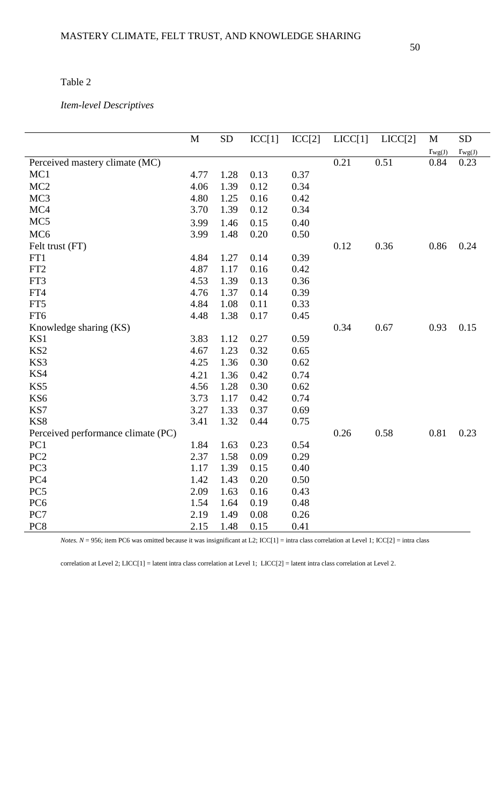## *Item-level Descriptives*

|                                    | M    | <b>SD</b> | ICC[1] | ICC[2] | LICC[1] | LICC[2] | M           | <b>SD</b>   |
|------------------------------------|------|-----------|--------|--------|---------|---------|-------------|-------------|
|                                    |      |           |        |        |         |         | $r_{wg(J)}$ | $r_{wg(J)}$ |
| Perceived mastery climate (MC)     |      |           |        |        | 0.21    | 0.51    | 0.84        | 0.23        |
| MC1                                | 4.77 | 1.28      | 0.13   | 0.37   |         |         |             |             |
| MC <sub>2</sub>                    | 4.06 | 1.39      | 0.12   | 0.34   |         |         |             |             |
| MC <sub>3</sub>                    | 4.80 | 1.25      | 0.16   | 0.42   |         |         |             |             |
| MC4                                | 3.70 | 1.39      | 0.12   | 0.34   |         |         |             |             |
| MC <sub>5</sub>                    | 3.99 | 1.46      | 0.15   | 0.40   |         |         |             |             |
| MC <sub>6</sub>                    | 3.99 | 1.48      | 0.20   | 0.50   |         |         |             |             |
| Felt trust (FT)                    |      |           |        |        | 0.12    | 0.36    | 0.86        | 0.24        |
| FT1                                | 4.84 | 1.27      | 0.14   | 0.39   |         |         |             |             |
| FT <sub>2</sub>                    | 4.87 | 1.17      | 0.16   | 0.42   |         |         |             |             |
| FT3                                | 4.53 | 1.39      | 0.13   | 0.36   |         |         |             |             |
| FT4                                | 4.76 | 1.37      | 0.14   | 0.39   |         |         |             |             |
| FT5                                | 4.84 | 1.08      | 0.11   | 0.33   |         |         |             |             |
| FT6                                | 4.48 | 1.38      | 0.17   | 0.45   |         |         |             |             |
| Knowledge sharing (KS)             |      |           |        |        | 0.34    | 0.67    | 0.93        | 0.15        |
| KS1                                | 3.83 | 1.12      | 0.27   | 0.59   |         |         |             |             |
| KS <sub>2</sub>                    | 4.67 | 1.23      | 0.32   | 0.65   |         |         |             |             |
| KS3                                | 4.25 | 1.36      | 0.30   | 0.62   |         |         |             |             |
| KS4                                | 4.21 | 1.36      | 0.42   | 0.74   |         |         |             |             |
| KS5                                | 4.56 | 1.28      | 0.30   | 0.62   |         |         |             |             |
| KS <sub>6</sub>                    | 3.73 | 1.17      | 0.42   | 0.74   |         |         |             |             |
| KS7                                | 3.27 | 1.33      | 0.37   | 0.69   |         |         |             |             |
| KS8                                | 3.41 | 1.32      | 0.44   | 0.75   |         |         |             |             |
| Perceived performance climate (PC) |      |           |        |        | 0.26    | 0.58    | 0.81        | 0.23        |
| PC1                                | 1.84 | 1.63      | 0.23   | 0.54   |         |         |             |             |
| PC <sub>2</sub>                    | 2.37 | 1.58      | 0.09   | 0.29   |         |         |             |             |
| PC <sub>3</sub>                    | 1.17 | 1.39      | 0.15   | 0.40   |         |         |             |             |
| PC <sub>4</sub>                    | 1.42 | 1.43      | 0.20   | 0.50   |         |         |             |             |
| PC <sub>5</sub>                    | 2.09 | 1.63      | 0.16   | 0.43   |         |         |             |             |
| PC <sub>6</sub>                    | 1.54 | 1.64      | 0.19   | 0.48   |         |         |             |             |
| PC7                                | 2.19 | 1.49      | 0.08   | 0.26   |         |         |             |             |
| PC8                                | 2.15 | 1.48      | 0.15   | 0.41   |         |         |             |             |

*Notes.*  $N = 956$ ; item PC6 was omitted because it was insignificant at L2; ICC[1] = intra class correlation at Level 1; ICC[2] = intra class

correlation at Level 2; LICC[1] = latent intra class correlation at Level 1; LICC[2] = latent intra class correlation at Level 2.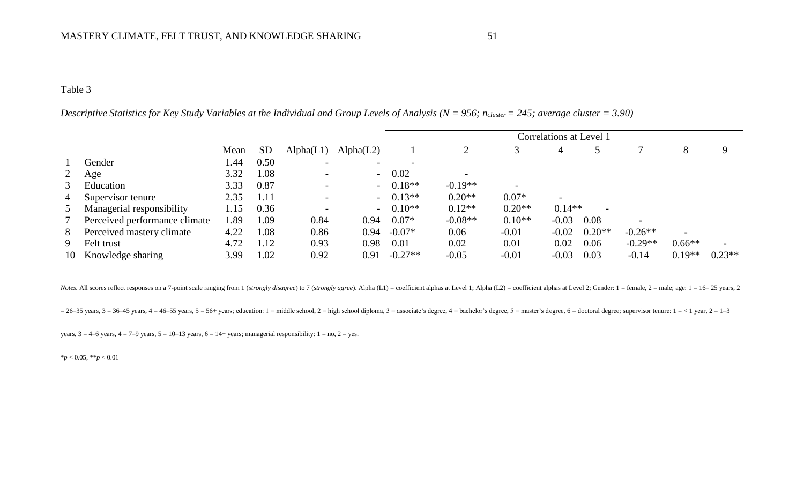*Descriptive Statistics for Key Study Variables at the Individual and Group Levels of Analysis (N = 956; ncluster = 245; average cluster = 3.90)*

|                |                               |       |           |                          |           | Correlations at Level 1 |           |                          |          |          |                |                |          |  |
|----------------|-------------------------------|-------|-----------|--------------------------|-----------|-------------------------|-----------|--------------------------|----------|----------|----------------|----------------|----------|--|
|                |                               | Mean  | <b>SD</b> | Alpha(L1)                | Alpha(L2) |                         |           |                          | 4        |          |                |                |          |  |
|                | Gender                        | l .44 | 0.50      | $\overline{\phantom{a}}$ | $\sim$    |                         |           |                          |          |          |                |                |          |  |
| 2              | Age                           | 3.32  | 1.08      |                          |           | 0.02                    |           |                          |          |          |                |                |          |  |
| 3              | Education                     | 3.33  | 0.87      | $\overline{\phantom{0}}$ | $\sim$    | $0.18**$                | $-0.19**$ | $\overline{\phantom{a}}$ |          |          |                |                |          |  |
| $\overline{4}$ | Supervisor tenure             | 2.35  | 1.11      |                          |           | $0.13**$                | $0.20**$  | $0.07*$                  |          |          |                |                |          |  |
| 5 <sup>5</sup> | Managerial responsibility     | 1.15  | 0.36      |                          |           | $0.10**$                | $0.12**$  | $0.20**$                 | $0.14**$ |          |                |                |          |  |
| 7              | Perceived performance climate | 1.89  | 1.09      | 0.84                     | 0.94      | $0.07*$                 | $-0.08**$ | $0.10**$                 | $-0.03$  | 0.08     | $\blacksquare$ |                |          |  |
| 8              | Perceived mastery climate     | 4.22  | 1.08      | 0.86                     | 0.94      | $-0.07*$                | 0.06      | $-0.01$                  | $-0.02$  | $0.20**$ | $-0.26**$      | $\blacksquare$ |          |  |
| 9              | Felt trust                    | 4.72  | 1.12      | 0.93                     | 0.98      | 0.01                    | 0.02      | 0.01                     | 0.02     | 0.06     | $-0.29**$      | $0.66**$       |          |  |
| 10             | Knowledge sharing             | 3.99  | 1.02      | 0.92                     | 0.91      | $-0.27**$               | $-0.05$   | $-0.01$                  | $-0.03$  | 0.03     | $-0.14$        | $0.19**$       | $0.23**$ |  |

Notes. All scores reflect responses on a 7-point scale ranging from 1 (strongly disagree) to 7 (strongly agree). Alpha (L1) = coefficient alphas at Level 1; Alpha (L2) = coefficient alphas at Level 2; Gender: 1 = female, 2

 $= 26-35$  years,  $3 = 36-45$  years,  $4 = 46-55$  years,  $5 = 56+$  years; education: 1 = middle school, 2 = high school diploma, 3 = associate's degree, 4 = bachelor's degree, 5 = master's degree, 6 = doctoral degree; supervis

years,  $3 = 4-6$  years,  $4 = 7-9$  years,  $5 = 10-13$  years,  $6 = 14+$  years; managerial responsibility:  $1 =$  no,  $2 =$  yes.

\**p* < 0.05, \*\**p* < 0.01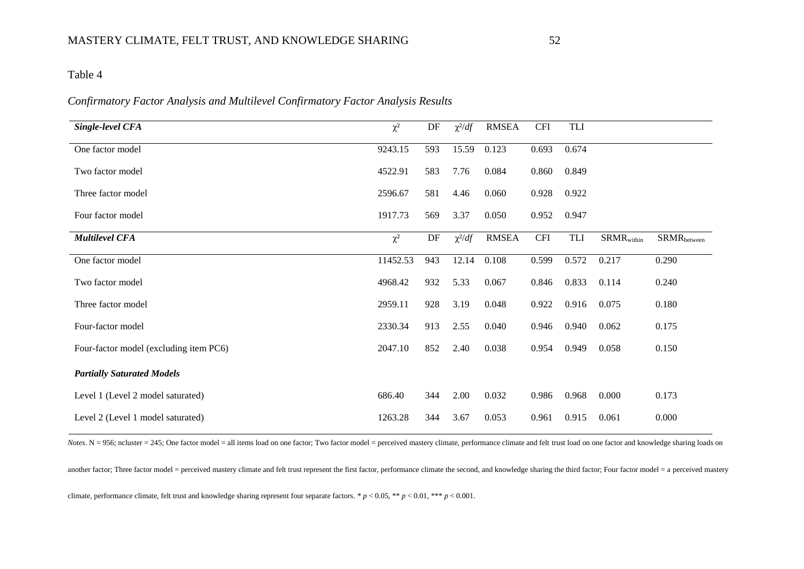## *Confirmatory Factor Analysis and Multilevel Confirmatory Factor Analysis Results*

| Single-level CFA                       | $\chi^2$ | DF  | $\chi^2/df$ | <b>RMSEA</b> | <b>CFI</b> | <b>TLI</b> |                          |                           |
|----------------------------------------|----------|-----|-------------|--------------|------------|------------|--------------------------|---------------------------|
| One factor model                       | 9243.15  | 593 | 15.59       | 0.123        | 0.693      | 0.674      |                          |                           |
| Two factor model                       | 4522.91  | 583 | 7.76        | 0.084        | 0.860      | 0.849      |                          |                           |
| Three factor model                     | 2596.67  | 581 | 4.46        | 0.060        | 0.928      | 0.922      |                          |                           |
| Four factor model                      | 1917.73  | 569 | 3.37        | 0.050        | 0.952      | 0.947      |                          |                           |
| <b>Multilevel CFA</b>                  | $\chi^2$ | DF  | $\chi^2/df$ | <b>RMSEA</b> | <b>CFI</b> | TLI        | $SRMR$ <sub>within</sub> | $SRMR$ <sub>between</sub> |
| One factor model                       | 11452.53 | 943 | 12.14       | 0.108        | 0.599      | 0.572      | 0.217                    | 0.290                     |
| Two factor model                       | 4968.42  | 932 | 5.33        | 0.067        | 0.846      | 0.833      | 0.114                    | 0.240                     |
| Three factor model                     | 2959.11  | 928 | 3.19        | 0.048        | 0.922      | 0.916      | 0.075                    | 0.180                     |
| Four-factor model                      | 2330.34  | 913 | 2.55        | 0.040        | 0.946      | 0.940      | 0.062                    | 0.175                     |
| Four-factor model (excluding item PC6) | 2047.10  | 852 | 2.40        | 0.038        | 0.954      | 0.949      | 0.058                    | 0.150                     |
| <b>Partially Saturated Models</b>      |          |     |             |              |            |            |                          |                           |
| Level 1 (Level 2 model saturated)      | 686.40   | 344 | 2.00        | 0.032        | 0.986      | 0.968      | 0.000                    | 0.173                     |
| Level 2 (Level 1 model saturated)      | 1263.28  | 344 | 3.67        | 0.053        | 0.961      | 0.915      | 0.061                    | 0.000                     |

*Notes*. N = 956; ncluster = 245; One factor model = all items load on one factor; Two factor model = perceived mastery climate, performance climate and felt trust load on one factor and knowledge sharing loads on

another factor; Three factor model = perceived mastery climate and felt trust represent the first factor, performance climate the second, and knowledge sharing the third factor; Four factor model = a perceived mastery climate, performance climate, felt trust and knowledge sharing represent four separate factors. \* *p* < 0.05, \*\* *p* < 0.01, \*\*\* *p* < 0.001.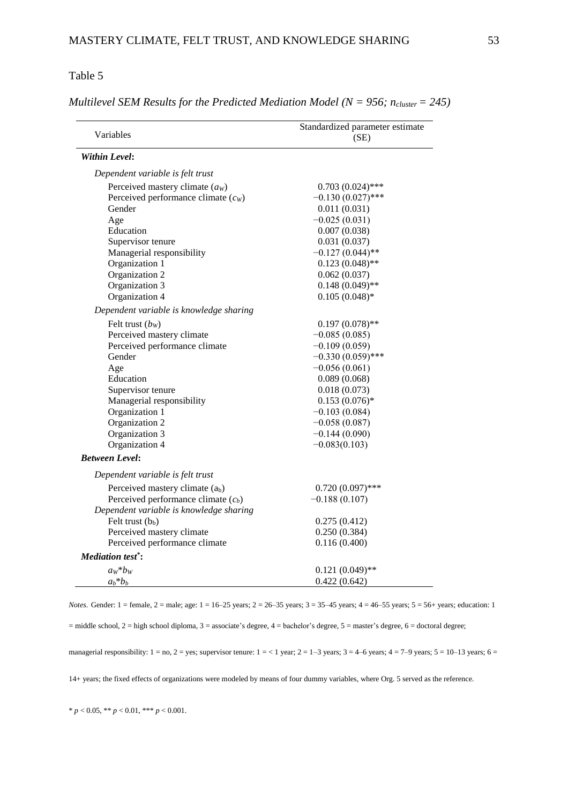*Multilevel SEM Results for the Predicted Mediation Model (* $N = 956$ *;*  $n_{cluster} = 245$ *)* 

| Variables                               | Standardized parameter estimate<br>(SE) |  |  |  |  |
|-----------------------------------------|-----------------------------------------|--|--|--|--|
| Within Level:                           |                                         |  |  |  |  |
| Dependent variable is felt trust        |                                         |  |  |  |  |
| Perceived mastery climate $(aW)$        | $0.703(0.024)$ ***                      |  |  |  |  |
| Perceived performance climate $(c_w)$   | $-0.130(0.027)$ ***                     |  |  |  |  |
| Gender                                  | 0.011(0.031)                            |  |  |  |  |
| Age                                     | $-0.025(0.031)$                         |  |  |  |  |
| Education                               | 0.007(0.038)                            |  |  |  |  |
| Supervisor tenure                       | 0.031(0.037)                            |  |  |  |  |
| Managerial responsibility               | $-0.127(0.044)$ **                      |  |  |  |  |
| Organization 1                          | $0.123(0.048)$ **                       |  |  |  |  |
| Organization 2                          | 0.062(0.037)                            |  |  |  |  |
| Organization 3                          | $0.148(0.049)$ **                       |  |  |  |  |
| Organization 4                          | $0.105(0.048)*$                         |  |  |  |  |
| Dependent variable is knowledge sharing |                                         |  |  |  |  |
| Felt trust $(bW)$                       | $0.197(0.078)$ **                       |  |  |  |  |
| Perceived mastery climate               | $-0.085(0.085)$                         |  |  |  |  |
| Perceived performance climate           | $-0.109(0.059)$                         |  |  |  |  |
| Gender                                  | $-0.330(0.059)$ ***                     |  |  |  |  |
| Age                                     | $-0.056(0.061)$                         |  |  |  |  |
| Education                               | 0.089(0.068)                            |  |  |  |  |
| Supervisor tenure                       | 0.018(0.073)                            |  |  |  |  |
| Managerial responsibility               | $0.153(0.076)*$                         |  |  |  |  |
| Organization 1                          | $-0.103(0.084)$                         |  |  |  |  |
| Organization 2                          | $-0.058(0.087)$                         |  |  |  |  |
| Organization 3                          | $-0.144(0.090)$                         |  |  |  |  |
| Organization 4                          | $-0.083(0.103)$                         |  |  |  |  |
| <b>Between Level:</b>                   |                                         |  |  |  |  |
| Dependent variable is felt trust        |                                         |  |  |  |  |
| Perceived mastery climate $(a_b)$       | $0.720(0.097)$ ***                      |  |  |  |  |
| Perceived performance climate $(c_b)$   | $-0.188(0.107)$                         |  |  |  |  |
| Dependent variable is knowledge sharing |                                         |  |  |  |  |
| Felt trust $(b_b)$                      | 0.275(0.412)                            |  |  |  |  |
| Perceived mastery climate               | 0.250(0.384)                            |  |  |  |  |
| Perceived performance climate           | 0.116(0.400)                            |  |  |  |  |
| <b>Mediation test<sup>*</sup></b> :     |                                         |  |  |  |  |
| $a_W * b_W$                             | $0.121(0.049)$ **                       |  |  |  |  |
| $a_b * b_b$                             | 0.422(0.642)                            |  |  |  |  |

*Notes.* Gender: 1 = female, 2 = male; age: 1 = 16–25 years; 2 = 26–35 years; 3 = 35–45 years; 4 = 46–55 years; 5 = 56+ years; education: 1

= middle school, 2 = high school diploma, 3 = associate's degree, 4 = bachelor's degree, 5 = master's degree, 6 = doctoral degree;

managerial responsibility:  $1 = no$ ,  $2 = yes$ ; supervisor tenure:  $1 = < 1$  year;  $2 = 1-3$  years;  $3 = 4-6$  years;  $4 = 7-9$  years;  $5 = 10-13$  years;  $6 = 10-13$ 

14+ years; the fixed effects of organizations were modeled by means of four dummy variables, where Org. 5 served as the reference.

 $* p < 0.05, ** p < 0.01, *** p < 0.001.$